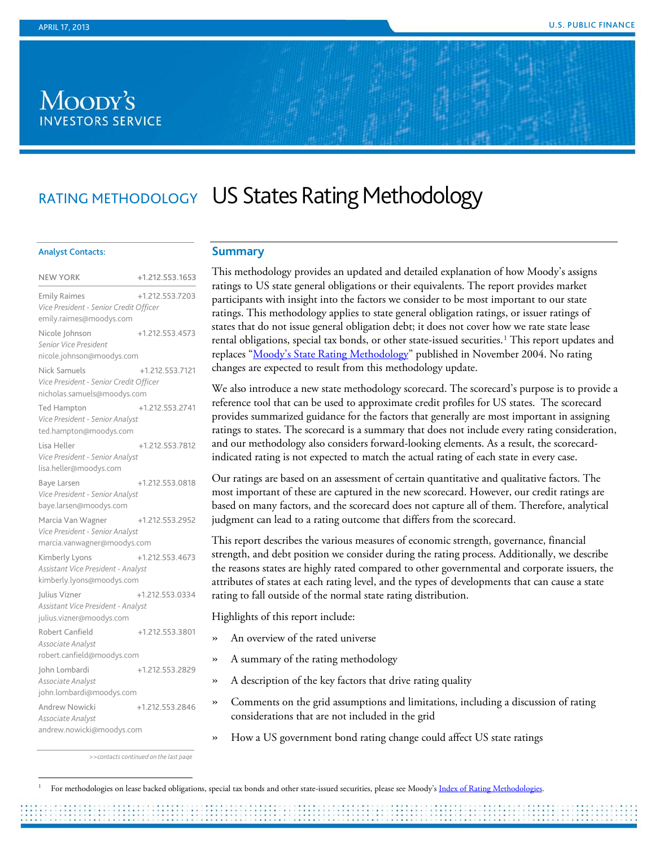# Moody's **INVESTORS SERVICE**

# RATING METHODOLOGY US States Rating Methodology

#### Analyst Contacts:

| <b>NEW YORK</b>                                                                          | +1.212.553.1653 |
|------------------------------------------------------------------------------------------|-----------------|
| <b>Emily Raimes</b><br>Vice President - Senior Credit Officer<br>emily.raimes@moodys.com | +1.212.553.7203 |
| Nicole Johnson<br>Senior Vice President<br>nicole.johnson@moodys.com                     | +1.212.553.4573 |
| Nick Samuels<br>Vice President - Senior Credit Officer<br>nicholas.samuels@moodys.com    | +1.212.553.7121 |
| <b>Ted Hampton</b><br>Vice President - Senior Analyst<br>ted.hampton@moodys.com          | +1.212.553.2741 |
| Lisa Heller<br>Vice President - Senior Analyst<br>lisa.heller@moodys.com                 | +1.212.553.7812 |
| Baye Larsen<br>Vice President - Senior Analyst<br>baye.larsen@moodys.com                 | +1.212.553.0818 |
| Marcia Van Wagner<br>Vice President - Senior Analyst<br>marcia.vanwagner@moodys.com      | +1.212.553.2952 |
| Kimberly Lyons<br>Assistant Vice President - Analyst<br>kimberly.lyons@moodys.com        | +1.212.553.4673 |
| Julius Vizner<br>Assistant Vice President - Analyst<br>julius.vizner@moodys.com          | +1.212.553.0334 |
| Robert Canfield<br>Associate Analyst<br>robert.canfield@moodys.com                       | +1.212.553.3801 |
| Iohn Lombardi<br>Associate Analyst<br>john.lombardi@moodys.com                           | +1.212.553.2829 |
| Andrew Nowicki<br>Associate Analyst<br>andrew.nowicki@moodys.com                         | +1.212.553.2846 |

# **Summary**

This methodology provides an updated and detailed explanation of how Moody's assigns ratings to US state general obligations or their equivalents. The report provides market participants with insight into the factors we consider to be most important to our state ratings. This methodology applies to state general obligation ratings, or issuer ratings of states that do not issue general obligation debt; it does not cover how we rate state lease rental obligations, special tax bonds, or other state-issued securities. [1](#page-0-0) This report updates and replaces ["Moody's State Rating Methodology"](http://www.moodys.com/viewresearchdoc.aspx?docid=PBM_PBM89335) published in November 2004. No rating changes are expected to result from this methodology update.

We also introduce a new state methodology scorecard. The scorecard's purpose is to provide a reference tool that can be used to approximate credit profiles for US states. The scorecard provides summarized guidance for the factors that generally are most important in assigning ratings to states. The scorecard is a summary that does not include every rating consideration, and our methodology also considers forward-looking elements. As a result, the scorecardindicated rating is not expected to match the actual rating of each state in every case.

Our ratings are based on an assessment of certain quantitative and qualitative factors. The most important of these are captured in the new scorecard. However, our credit ratings are based on many factors, and the scorecard does not capture all of them. Therefore, analytical judgment can lead to a rating outcome that differs from the scorecard.

This report describes the various measures of economic strength, governance, financial strength, and debt position we consider during the rating process. Additionally, we describe the reasons states are highly rated compared to other governmental and corporate issuers, the attributes of states at each rating level, and the types of developments that can cause a state rating to fall outside of the normal state rating distribution.

Highlights of this report include:

- » An overview of the rated universe
- » A summary of the rating methodology
- » A description of the key factors that drive rating quality
- » Comments on the grid assumptions and limitations, including a discussion of rating considerations that are not included in the grid
- » How a US government bond rating change could affect US state ratings

*>>contacts continued on the last page*

<span id="page-0-0"></span>For methodologies on lease backed obligations, special tax bonds and other state-issued securities, please see Moody'[s Index of Rating Methodologies.](http://www.moodys.com/viewresearchdoc.aspx?docid=PBC_127479)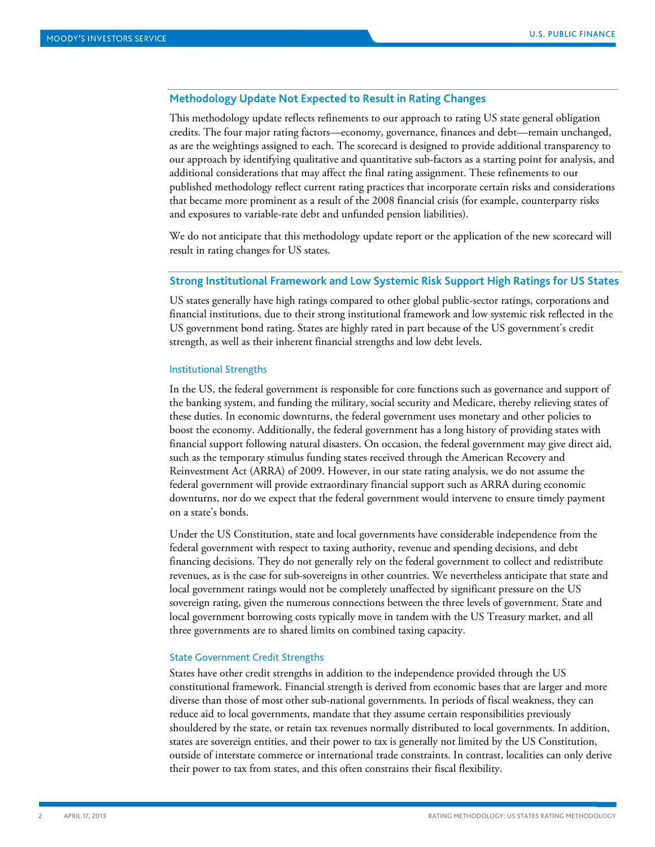# **Methodology Update Not Expected to Result in Rating Changes**

This methodology update reflects refinements to our approach to rating US state general obligation credits. The four major rating factors—economy, governance, finances and debt—remain unchanged, as are the weightings assigned to each. The scorecard is designed to provide additional transparency to our approach by identifying qualitative and quantitative sub-factors as a starting point for analysis, and additional considerations that may affect the final rating assignment. These refinements to our published methodology reflect current rating practices that incorporate certain risks and considerations that became more prominent as a result of the 2008 financial crisis (for example, counterparty risks and exposures to variable-rate debt and unfunded pension liabilities).

We do not anticipate that this methodology update report or the application of the new scorecard will result in rating changes for US states.

# **Strong Institutional Framework and Low Systemic Risk Support High Ratings for US States**

US states generally have high ratings compared to other global public-sector ratings, corporations and financial institutions, due to their strong institutional framework and low systemic risk reflected in the US government bond rating. States are highly rated in part because of the US government's credit strength, as well as their inherent financial strengths and low debt levels.

#### Institutional Strengths

In the US, the federal government is responsible for core functions such as governance and support of the banking system, and funding the military, social security and Medicare, thereby relieving states of these duties. In economic downturns, the federal government uses monetary and other policies to boost the economy. Additionally, the federal government has a long history of providing states with financial support following natural disasters. On occasion, the federal government may give direct aid, such as the temporary stimulus funding states received through the American Recovery and Reinvestment Act (ARRA) of 2009. However, in our state rating analysis, we do not assume the federal government will provide extraordinary financial support such as ARRA during economic downturns, nor do we expect that the federal government would intervene to ensure timely payment on a state's bonds.

Under the US Constitution, state and local governments have considerable independence from the federal government with respect to taxing authority, revenue and spending decisions, and debt financing decisions. They do not generally rely on the federal government to collect and redistribute revenues, as is the case for sub-sovereigns in other countries. We nevertheless anticipate that state and local government ratings would not be completely unaffected by significant pressure on the US sovereign rating, given the numerous connections between the three levels of government. State and local government borrowing costs typically move in tandem with the US Treasury market, and all three governments are to shared limits on combined taxing capacity.

#### State Government Credit Strengths

States have other credit strengths in addition to the independence provided through the US constitutional framework. Financial strength is derived from economic bases that are larger and more diverse than those of most other sub-national governments. In periods of fiscal weakness, they can reduce aid to local governments, mandate that they assume certain responsibilities previously shouldered by the state, or retain tax revenues normally distributed to local governments. In addition, states are sovereign entities, and their power to tax is generally not limited by the US Constitution, outside of interstate commerce or international trade constraints. In contrast, localities can only derive their power to tax from states, and this often constrains their fiscal flexibility.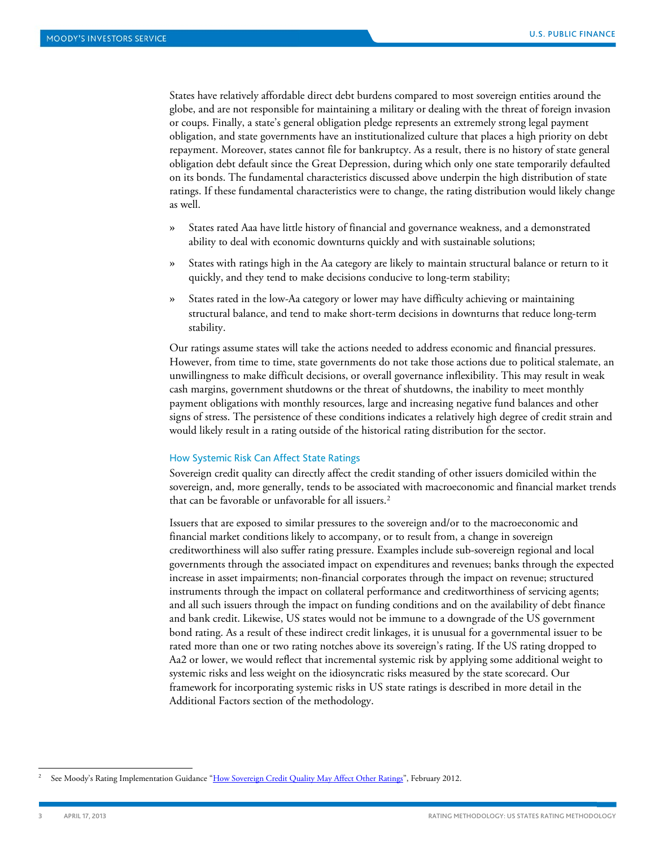States have relatively affordable direct debt burdens compared to most sovereign entities around the globe, and are not responsible for maintaining a military or dealing with the threat of foreign invasion or coups. Finally, a state's general obligation pledge represents an extremely strong legal payment obligation, and state governments have an institutionalized culture that places a high priority on debt repayment. Moreover, states cannot file for bankruptcy. As a result, there is no history of state general obligation debt default since the Great Depression, during which only one state temporarily defaulted on its bonds. The fundamental characteristics discussed above underpin the high distribution of state ratings. If these fundamental characteristics were to change, the rating distribution would likely change as well.

- » States rated Aaa have little history of financial and governance weakness, and a demonstrated ability to deal with economic downturns quickly and with sustainable solutions;
- » States with ratings high in the Aa category are likely to maintain structural balance or return to it quickly, and they tend to make decisions conducive to long-term stability;
- » States rated in the low-Aa category or lower may have difficulty achieving or maintaining structural balance, and tend to make short-term decisions in downturns that reduce long-term stability.

Our ratings assume states will take the actions needed to address economic and financial pressures. However, from time to time, state governments do not take those actions due to political stalemate, an unwillingness to make difficult decisions, or overall governance inflexibility. This may result in weak cash margins, government shutdowns or the threat of shutdowns, the inability to meet monthly payment obligations with monthly resources, large and increasing negative fund balances and other signs of stress. The persistence of these conditions indicates a relatively high degree of credit strain and would likely result in a rating outside of the historical rating distribution for the sector.

#### How Systemic Risk Can Affect State Ratings

Sovereign credit quality can directly affect the credit standing of other issuers domiciled within the sovereign, and, more generally, tends to be associated with macroeconomic and financial market trends that can be favorable or unfavorable for all issuers. [2](#page-2-0)

Issuers that are exposed to similar pressures to the sovereign and/or to the macroeconomic and financial market conditions likely to accompany, or to result from, a change in sovereign creditworthiness will also suffer rating pressure. Examples include sub-sovereign regional and local governments through the associated impact on expenditures and revenues; banks through the expected increase in asset impairments; non-financial corporates through the impact on revenue; structured instruments through the impact on collateral performance and creditworthiness of servicing agents; and all such issuers through the impact on funding conditions and on the availability of debt finance and bank credit. Likewise, US states would not be immune to a downgrade of the US government bond rating. As a result of these indirect credit linkages, it is unusual for a governmental issuer to be rated more than one or two rating notches above its sovereign's rating. If the US rating dropped to Aa2 or lower, we would reflect that incremental systemic risk by applying some additional weight to systemic risks and less weight on the idiosyncratic risks measured by the state scorecard. Our framework for incorporating systemic risks in US state ratings is described in more detail in the Additional Factors section of the methodology.

<span id="page-2-0"></span>See Moody's Rating Implementation Guidance ["How Sovereign Credit Quality May](http://www.moodys.com/viewresearchdoc.aspx?docid=PBC_139495) Affect Other Ratings", February 2012.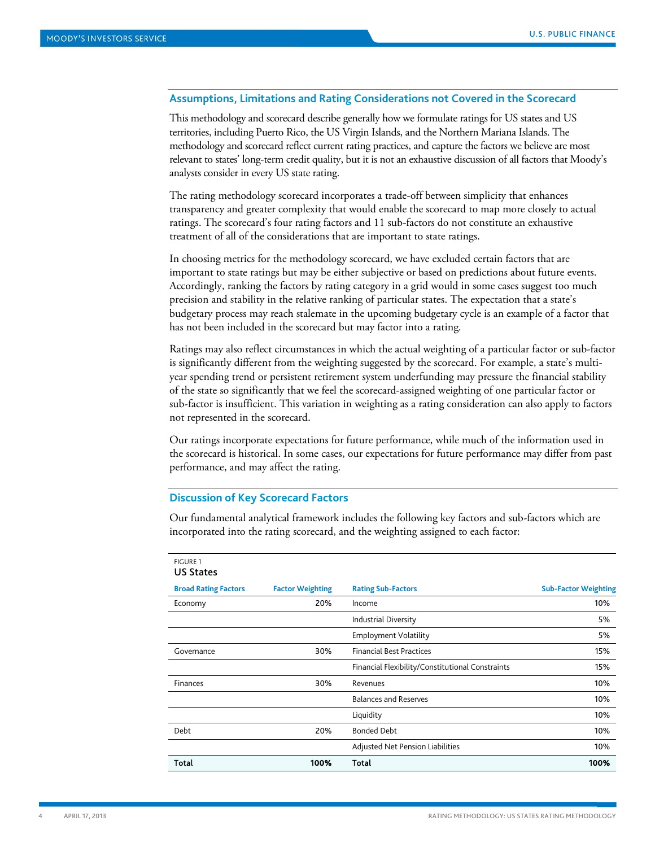# **Assumptions, Limitations and Rating Considerations not Covered in the Scorecard**

This methodology and scorecard describe generally how we formulate ratings for US states and US territories, including Puerto Rico, the US Virgin Islands, and the Northern Mariana Islands. The methodology and scorecard reflect current rating practices, and capture the factors we believe are most relevant to states' long-term credit quality, but it is not an exhaustive discussion of all factors that Moody's analysts consider in every US state rating.

The rating methodology scorecard incorporates a trade-off between simplicity that enhances transparency and greater complexity that would enable the scorecard to map more closely to actual ratings. The scorecard's four rating factors and 11 sub-factors do not constitute an exhaustive treatment of all of the considerations that are important to state ratings.

In choosing metrics for the methodology scorecard, we have excluded certain factors that are important to state ratings but may be either subjective or based on predictions about future events. Accordingly, ranking the factors by rating category in a grid would in some cases suggest too much precision and stability in the relative ranking of particular states. The expectation that a state's budgetary process may reach stalemate in the upcoming budgetary cycle is an example of a factor that has not been included in the scorecard but may factor into a rating.

Ratings may also reflect circumstances in which the actual weighting of a particular factor or sub-factor is significantly different from the weighting suggested by the scorecard. For example, a state's multiyear spending trend or persistent retirement system underfunding may pressure the financial stability of the state so significantly that we feel the scorecard-assigned weighting of one particular factor or sub-factor is insufficient. This variation in weighting as a rating consideration can also apply to factors not represented in the scorecard.

Our ratings incorporate expectations for future performance, while much of the information used in the scorecard is historical. In some cases, our expectations for future performance may differ from past performance, and may affect the rating.

## **Discussion of Key Scorecard Factors**

FIGURE 1

Our fundamental analytical framework includes the following key factors and sub-factors which are incorporated into the rating scorecard, and the weighting assigned to each factor:

| .<br><b>US States</b>       |                         |                                                  |                             |
|-----------------------------|-------------------------|--------------------------------------------------|-----------------------------|
| <b>Broad Rating Factors</b> | <b>Factor Weighting</b> | <b>Rating Sub-Factors</b>                        | <b>Sub-Factor Weighting</b> |
| Economy                     | 20%                     | Income                                           | 10%                         |
|                             |                         | <b>Industrial Diversity</b>                      | 5%                          |
|                             |                         | <b>Employment Volatility</b>                     | 5%                          |
| Governance                  | 30%                     | <b>Financial Best Practices</b>                  | 15%                         |
|                             |                         | Financial Flexibility/Constitutional Constraints | 15%                         |
| Finances                    | 30%                     | Revenues                                         | 10%                         |
|                             |                         | <b>Balances and Reserves</b>                     | 10%                         |
|                             |                         | Liquidity                                        | 10%                         |
| Debt                        | 20%                     | <b>Bonded Debt</b>                               | 10%                         |
|                             |                         | Adjusted Net Pension Liabilities                 | 10%                         |
| <b>Total</b>                | 100%                    | Total                                            | 100%                        |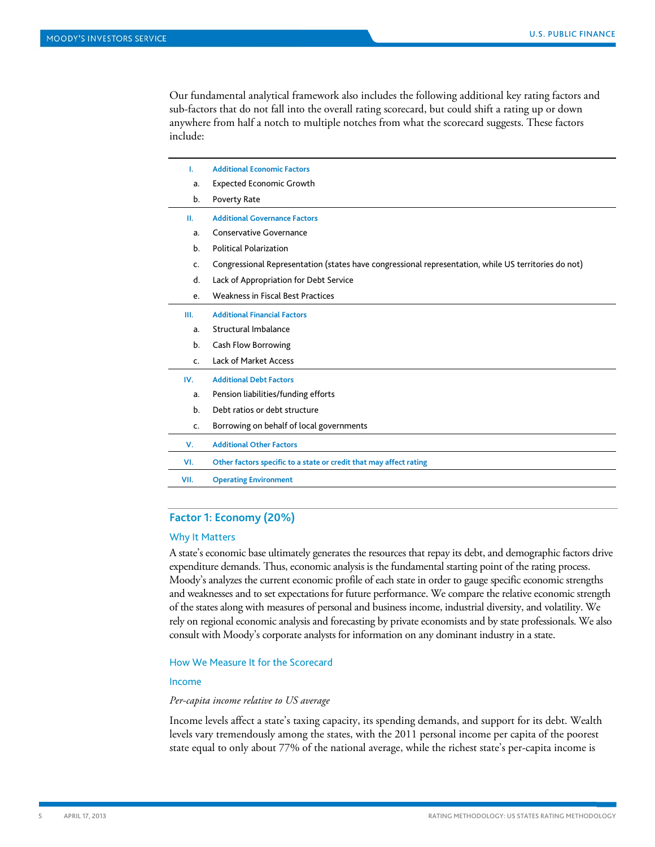Our fundamental analytical framework also includes the following additional key rating factors and sub-factors that do not fall into the overall rating scorecard, but could shift a rating up or down anywhere from half a notch to multiple notches from what the scorecard suggests. These factors include:

| L.   | <b>Additional Economic Factors</b>                                                                   |
|------|------------------------------------------------------------------------------------------------------|
| a.   | <b>Expected Economic Growth</b>                                                                      |
| b.   | Poverty Rate                                                                                         |
| Ш.   | <b>Additional Governance Factors</b>                                                                 |
| a.   | <b>Conservative Governance</b>                                                                       |
| b.   | <b>Political Polarization</b>                                                                        |
| c.   | Congressional Representation (states have congressional representation, while US territories do not) |
| d.   | Lack of Appropriation for Debt Service                                                               |
| e.   | <b>Weakness in Fiscal Best Practices</b>                                                             |
| III. | <b>Additional Financial Factors</b>                                                                  |
| a.   | Structural Imbalance                                                                                 |
| b.   | Cash Flow Borrowing                                                                                  |
| c.   | Lack of Market Access                                                                                |
| IV.  | <b>Additional Debt Factors</b>                                                                       |
| a.   | Pension liabilities/funding efforts                                                                  |
| b.   | Debt ratios or debt structure                                                                        |
| c.   | Borrowing on behalf of local governments                                                             |
| V.   | <b>Additional Other Factors</b>                                                                      |
| VI.  | Other factors specific to a state or credit that may affect rating                                   |
| VII. | <b>Operating Environment</b>                                                                         |
|      |                                                                                                      |

# **Factor 1: Economy (20%)**

#### Why It Matters

A state's economic base ultimately generates the resources that repay its debt, and demographic factors drive expenditure demands. Thus, economic analysis is the fundamental starting point of the rating process. Moody's analyzes the current economic profile of each state in order to gauge specific economic strengths and weaknesses and to set expectations for future performance. We compare the relative economic strength of the states along with measures of personal and business income, industrial diversity, and volatility. We rely on regional economic analysis and forecasting by private economists and by state professionals. We also consult with Moody's corporate analysts for information on any dominant industry in a state.

#### How We Measure It for the Scorecard

# Income

#### *Per-capita income relative to US average*

Income levels affect a state's taxing capacity, its spending demands, and support for its debt. Wealth levels vary tremendously among the states, with the 2011 personal income per capita of the poorest state equal to only about 77% of the national average, while the richest state's per-capita income is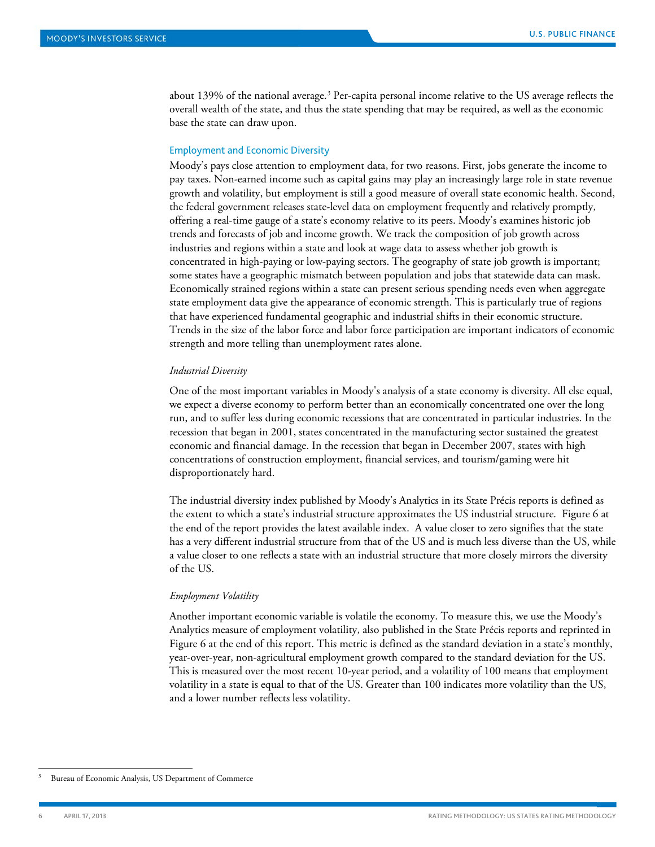about 139% of the national average. [3](#page-5-0) Per-capita personal income relative to the US average reflects the overall wealth of the state, and thus the state spending that may be required, as well as the economic base the state can draw upon.

#### Employment and Economic Diversity

Moody's pays close attention to employment data, for two reasons. First, jobs generate the income to pay taxes. Non-earned income such as capital gains may play an increasingly large role in state revenue growth and volatility, but employment is still a good measure of overall state economic health. Second, the federal government releases state-level data on employment frequently and relatively promptly, offering a real-time gauge of a state's economy relative to its peers. Moody's examines historic job trends and forecasts of job and income growth. We track the composition of job growth across industries and regions within a state and look at wage data to assess whether job growth is concentrated in high-paying or low-paying sectors. The geography of state job growth is important; some states have a geographic mismatch between population and jobs that statewide data can mask. Economically strained regions within a state can present serious spending needs even when aggregate state employment data give the appearance of economic strength. This is particularly true of regions that have experienced fundamental geographic and industrial shifts in their economic structure. Trends in the size of the labor force and labor force participation are important indicators of economic strength and more telling than unemployment rates alone.

#### *Industrial Diversity*

One of the most important variables in Moody's analysis of a state economy is diversity. All else equal, we expect a diverse economy to perform better than an economically concentrated one over the long run, and to suffer less during economic recessions that are concentrated in particular industries. In the recession that began in 2001, states concentrated in the manufacturing sector sustained the greatest economic and financial damage. In the recession that began in December 2007, states with high concentrations of construction employment, financial services, and tourism/gaming were hit disproportionately hard.

The industrial diversity index published by Moody's Analytics in its State Précis reports is defined as the extent to which a state's industrial structure approximates the US industrial structure. Figure 6 at the end of the report provides the latest available index. A value closer to zero signifies that the state has a very different industrial structure from that of the US and is much less diverse than the US, while a value closer to one reflects a state with an industrial structure that more closely mirrors the diversity of the US.

## *Employment Volatility*

Another important economic variable is volatile the economy. To measure this, we use the Moody's Analytics measure of employment volatility, also published in the State Précis reports and reprinted in Figure 6 at the end of this report. This metric is defined as the standard deviation in a state's monthly, year-over-year, non-agricultural employment growth compared to the standard deviation for the US. This is measured over the most recent 10-year period, and a volatility of 100 means that employment volatility in a state is equal to that of the US. Greater than 100 indicates more volatility than the US, and a lower number reflects less volatility.

<span id="page-5-0"></span>Bureau of Economic Analysis, US Department of Commerce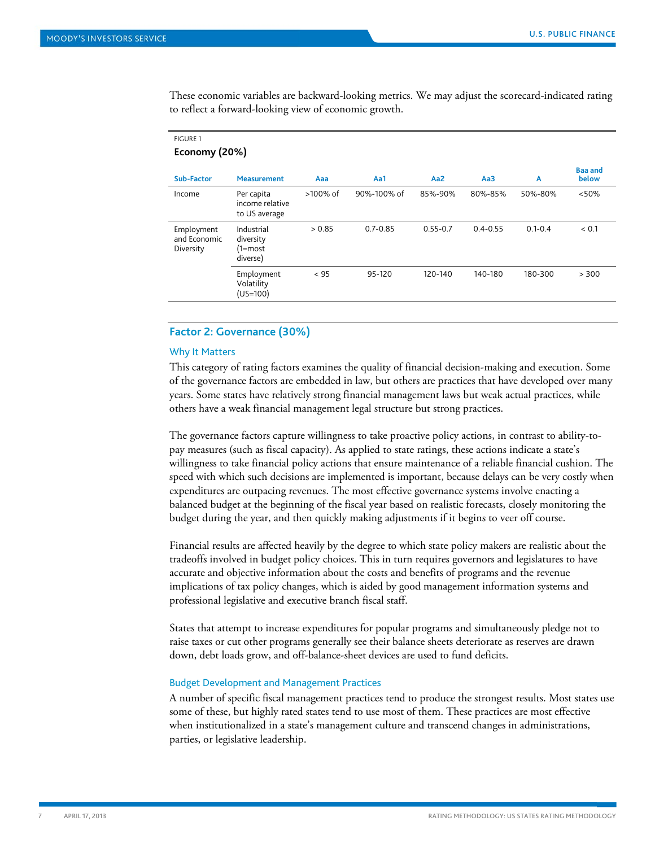These economic variables are backward-looking metrics. We may adjust the scorecard-indicated rating to reflect a forward-looking view of economic growth.

| Economy (20%)                           |                                                |          |              |                 |              |             |                         |
|-----------------------------------------|------------------------------------------------|----------|--------------|-----------------|--------------|-------------|-------------------------|
| Sub-Factor                              | <b>Measurement</b>                             | Aaa      | Aa1          | Aa <sub>2</sub> | Aa3          | A           | <b>Baa and</b><br>below |
| Income                                  | Per capita<br>income relative<br>to US average | >100% of | 90%-100% of  | 85%-90%         | 80%-85%      | 50%-80%     | < 50%                   |
| Employment<br>and Economic<br>Diversity | Industrial<br>diversity<br>(1=most<br>diverse) | > 0.85   | $0.7 - 0.85$ | $0.55 - 0.7$    | $0.4 - 0.55$ | $0.1 - 0.4$ | < 0.1                   |
|                                         | Employment<br>Volatility<br>$(US=100)$         | < 95     | 95-120       | 120-140         | 140-180      | 180-300     | > 300                   |

# **Factor 2: Governance (30%)**

# Why It Matters

This category of rating factors examines the quality of financial decision-making and execution. Some of the governance factors are embedded in law, but others are practices that have developed over many years. Some states have relatively strong financial management laws but weak actual practices, while others have a weak financial management legal structure but strong practices.

The governance factors capture willingness to take proactive policy actions, in contrast to ability-topay measures (such as fiscal capacity). As applied to state ratings, these actions indicate a state's willingness to take financial policy actions that ensure maintenance of a reliable financial cushion. The speed with which such decisions are implemented is important, because delays can be very costly when expenditures are outpacing revenues. The most effective governance systems involve enacting a balanced budget at the beginning of the fiscal year based on realistic forecasts, closely monitoring the budget during the year, and then quickly making adjustments if it begins to veer off course.

Financial results are affected heavily by the degree to which state policy makers are realistic about the tradeoffs involved in budget policy choices. This in turn requires governors and legislatures to have accurate and objective information about the costs and benefits of programs and the revenue implications of tax policy changes, which is aided by good management information systems and professional legislative and executive branch fiscal staff.

States that attempt to increase expenditures for popular programs and simultaneously pledge not to raise taxes or cut other programs generally see their balance sheets deteriorate as reserves are drawn down, debt loads grow, and off-balance-sheet devices are used to fund deficits.

# Budget Development and Management Practices

A number of specific fiscal management practices tend to produce the strongest results. Most states use some of these, but highly rated states tend to use most of them. These practices are most effective when institutionalized in a state's management culture and transcend changes in administrations, parties, or legislative leadership.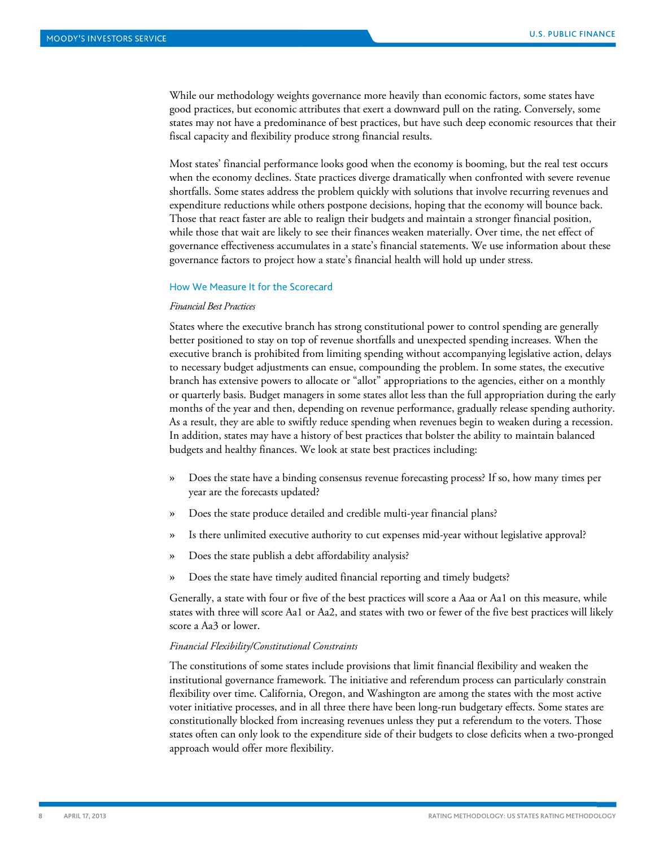While our methodology weights governance more heavily than economic factors, some states have good practices, but economic attributes that exert a downward pull on the rating. Conversely, some states may not have a predominance of best practices, but have such deep economic resources that their fiscal capacity and flexibility produce strong financial results.

Most states' financial performance looks good when the economy is booming, but the real test occurs when the economy declines. State practices diverge dramatically when confronted with severe revenue shortfalls. Some states address the problem quickly with solutions that involve recurring revenues and expenditure reductions while others postpone decisions, hoping that the economy will bounce back. Those that react faster are able to realign their budgets and maintain a stronger financial position, while those that wait are likely to see their finances weaken materially. Over time, the net effect of governance effectiveness accumulates in a state's financial statements. We use information about these governance factors to project how a state's financial health will hold up under stress.

#### How We Measure It for the Scorecard

# *Financial Best Practices*

States where the executive branch has strong constitutional power to control spending are generally better positioned to stay on top of revenue shortfalls and unexpected spending increases. When the executive branch is prohibited from limiting spending without accompanying legislative action, delays to necessary budget adjustments can ensue, compounding the problem. In some states, the executive branch has extensive powers to allocate or "allot" appropriations to the agencies, either on a monthly or quarterly basis. Budget managers in some states allot less than the full appropriation during the early months of the year and then, depending on revenue performance, gradually release spending authority. As a result, they are able to swiftly reduce spending when revenues begin to weaken during a recession. In addition, states may have a history of best practices that bolster the ability to maintain balanced budgets and healthy finances. We look at state best practices including:

- » Does the state have a binding consensus revenue forecasting process? If so, how many times per year are the forecasts updated?
- » Does the state produce detailed and credible multi-year financial plans?
- » Is there unlimited executive authority to cut expenses mid-year without legislative approval?
- » Does the state publish a debt affordability analysis?
- » Does the state have timely audited financial reporting and timely budgets?

Generally, a state with four or five of the best practices will score a Aaa or Aa1 on this measure, while states with three will score Aa1 or Aa2, and states with two or fewer of the five best practices will likely score a Aa3 or lower.

# *Financial Flexibility/Constitutional Constraints*

The constitutions of some states include provisions that limit financial flexibility and weaken the institutional governance framework. The initiative and referendum process can particularly constrain flexibility over time. California, Oregon, and Washington are among the states with the most active voter initiative processes, and in all three there have been long-run budgetary effects. Some states are constitutionally blocked from increasing revenues unless they put a referendum to the voters. Those states often can only look to the expenditure side of their budgets to close deficits when a two-pronged approach would offer more flexibility.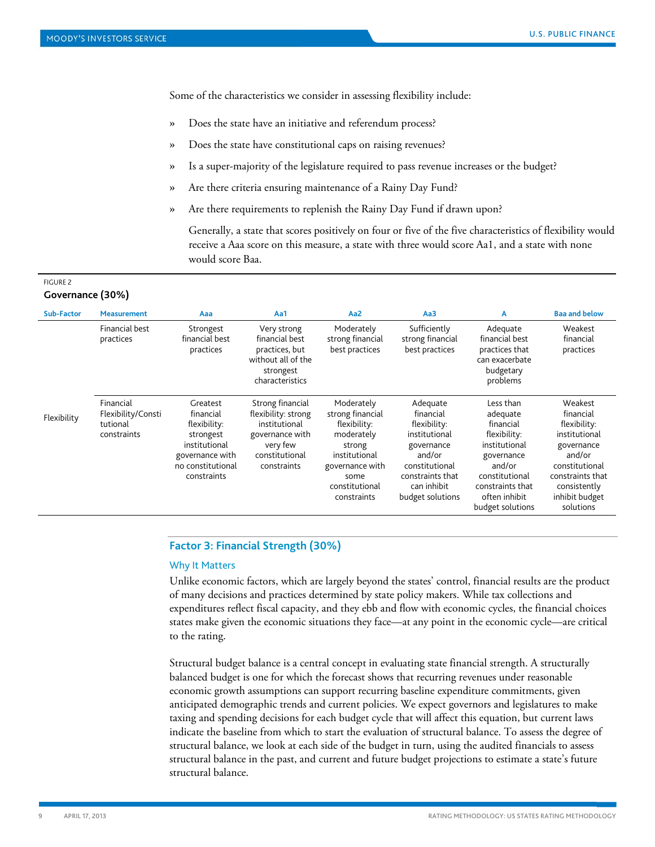Some of the characteristics we consider in assessing flexibility include:

- » Does the state have an initiative and referendum process?
- » Does the state have constitutional caps on raising revenues?
- » Is a super-majority of the legislature required to pass revenue increases or the budget?
- » Are there criteria ensuring maintenance of a Rainy Day Fund?
- » Are there requirements to replenish the Rainy Day Fund if drawn upon?

Generally, a state that scores positively on four or five of the five characteristics of flexibility would receive a Aaa score on this measure, a state with three would score Aa1, and a state with none would score Baa.

#### FIGURE 2

# **Governance (30%)**

| Sub-Factor  | <b>Measurement</b>                                         | Aaa                                                                                                                        | Aa1                                                                                                                      | Aa <sub>2</sub>                                                                                                                                     | Aa3                                                                                                                                                     | A                                                                                                                                                                      | <b>Baa and below</b>                                                                                                                                               |
|-------------|------------------------------------------------------------|----------------------------------------------------------------------------------------------------------------------------|--------------------------------------------------------------------------------------------------------------------------|-----------------------------------------------------------------------------------------------------------------------------------------------------|---------------------------------------------------------------------------------------------------------------------------------------------------------|------------------------------------------------------------------------------------------------------------------------------------------------------------------------|--------------------------------------------------------------------------------------------------------------------------------------------------------------------|
|             | Financial best<br>practices                                | Strongest<br>financial best<br>practices                                                                                   | Very strong<br>financial best<br>practices, but<br>without all of the<br>strongest<br>characteristics                    | Moderately<br>strong financial<br>best practices                                                                                                    | Sufficiently<br>strong financial<br>best practices                                                                                                      | Adequate<br>financial best<br>practices that<br>can exacerbate<br>budgetary<br>problems                                                                                | Weakest<br>financial<br>practices                                                                                                                                  |
| Flexibility | Financial<br>Flexibility/Consti<br>tutional<br>constraints | Greatest<br>financial<br>flexibility:<br>strongest<br>institutional<br>governance with<br>no constitutional<br>constraints | Strong financial<br>flexibility: strong<br>institutional<br>governance with<br>very few<br>constitutional<br>constraints | Moderately<br>strong financial<br>flexibility:<br>moderately<br>strong<br>institutional<br>governance with<br>some<br>constitutional<br>constraints | Adequate<br>financial<br>flexibility:<br>institutional<br>governance<br>and/or<br>constitutional<br>constraints that<br>can inhibit<br>budget solutions | Less than<br>adequate<br>financial<br>flexibility:<br>institutional<br>governance<br>and/or<br>constitutional<br>constraints that<br>often inhibit<br>budget solutions | Weakest<br>financial<br>flexibility:<br>institutional<br>governance<br>and/or<br>constitutional<br>constraints that<br>consistently<br>inhibit budget<br>solutions |

# **Factor 3: Financial Strength (30%)**

# Why It Matters

Unlike economic factors, which are largely beyond the states' control, financial results are the product of many decisions and practices determined by state policy makers. While tax collections and expenditures reflect fiscal capacity, and they ebb and flow with economic cycles, the financial choices states make given the economic situations they face—at any point in the economic cycle—are critical to the rating.

Structural budget balance is a central concept in evaluating state financial strength. A structurally balanced budget is one for which the forecast shows that recurring revenues under reasonable economic growth assumptions can support recurring baseline expenditure commitments, given anticipated demographic trends and current policies. We expect governors and legislatures to make taxing and spending decisions for each budget cycle that will affect this equation, but current laws indicate the baseline from which to start the evaluation of structural balance. To assess the degree of structural balance, we look at each side of the budget in turn, using the audited financials to assess structural balance in the past, and current and future budget projections to estimate a state's future structural balance.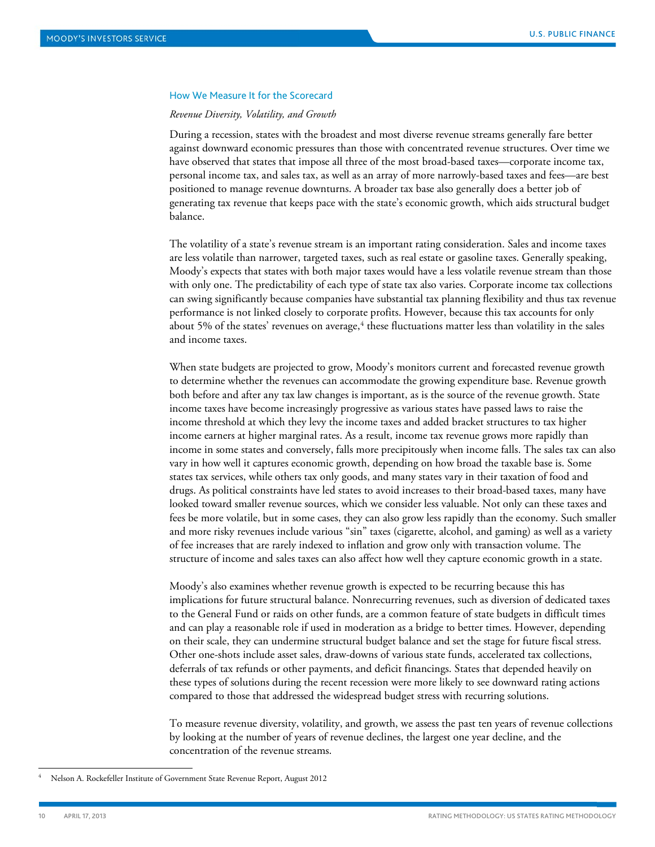#### How We Measure It for the Scorecard

#### *Revenue Diversity, Volatility, and Growth*

During a recession, states with the broadest and most diverse revenue streams generally fare better against downward economic pressures than those with concentrated revenue structures. Over time we have observed that states that impose all three of the most broad-based taxes—corporate income tax, personal income tax, and sales tax, as well as an array of more narrowly-based taxes and fees—are best positioned to manage revenue downturns. A broader tax base also generally does a better job of generating tax revenue that keeps pace with the state's economic growth, which aids structural budget balance.

The volatility of a state's revenue stream is an important rating consideration. Sales and income taxes are less volatile than narrower, targeted taxes, such as real estate or gasoline taxes. Generally speaking, Moody's expects that states with both major taxes would have a less volatile revenue stream than those with only one. The predictability of each type of state tax also varies. Corporate income tax collections can swing significantly because companies have substantial tax planning flexibility and thus tax revenue performance is not linked closely to corporate profits. However, because this tax accounts for only about 5% of the states' revenues on average, $^4$  $^4$  these fluctuations matter less than volatility in the sales and income taxes.

When state budgets are projected to grow, Moody's monitors current and forecasted revenue growth to determine whether the revenues can accommodate the growing expenditure base. Revenue growth both before and after any tax law changes is important, as is the source of the revenue growth. State income taxes have become increasingly progressive as various states have passed laws to raise the income threshold at which they levy the income taxes and added bracket structures to tax higher income earners at higher marginal rates. As a result, income tax revenue grows more rapidly than income in some states and conversely, falls more precipitously when income falls. The sales tax can also vary in how well it captures economic growth, depending on how broad the taxable base is. Some states tax services, while others tax only goods, and many states vary in their taxation of food and drugs. As political constraints have led states to avoid increases to their broad-based taxes, many have looked toward smaller revenue sources, which we consider less valuable. Not only can these taxes and fees be more volatile, but in some cases, they can also grow less rapidly than the economy. Such smaller and more risky revenues include various "sin" taxes (cigarette, alcohol, and gaming) as well as a variety of fee increases that are rarely indexed to inflation and grow only with transaction volume. The structure of income and sales taxes can also affect how well they capture economic growth in a state.

Moody's also examines whether revenue growth is expected to be recurring because this has implications for future structural balance. Nonrecurring revenues, such as diversion of dedicated taxes to the General Fund or raids on other funds, are a common feature of state budgets in difficult times and can play a reasonable role if used in moderation as a bridge to better times. However, depending on their scale, they can undermine structural budget balance and set the stage for future fiscal stress. Other one-shots include asset sales, draw-downs of various state funds, accelerated tax collections, deferrals of tax refunds or other payments, and deficit financings. States that depended heavily on these types of solutions during the recent recession were more likely to see downward rating actions compared to those that addressed the widespread budget stress with recurring solutions.

To measure revenue diversity, volatility, and growth, we assess the past ten years of revenue collections by looking at the number of years of revenue declines, the largest one year decline, and the concentration of the revenue streams.

<span id="page-9-0"></span> <sup>4</sup> Nelson A. Rockefeller Institute of Government State Revenue Report, August 2012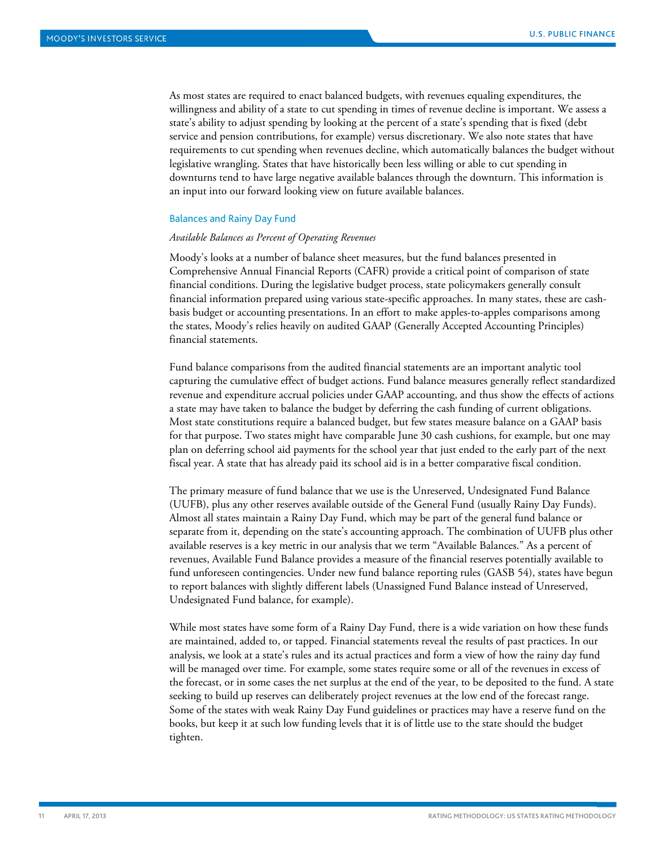As most states are required to enact balanced budgets, with revenues equaling expenditures, the willingness and ability of a state to cut spending in times of revenue decline is important. We assess a state's ability to adjust spending by looking at the percent of a state's spending that is fixed (debt service and pension contributions, for example) versus discretionary. We also note states that have requirements to cut spending when revenues decline, which automatically balances the budget without legislative wrangling. States that have historically been less willing or able to cut spending in downturns tend to have large negative available balances through the downturn. This information is an input into our forward looking view on future available balances.

#### Balances and Rainy Day Fund

#### *Available Balances as Percent of Operating Revenues*

Moody's looks at a number of balance sheet measures, but the fund balances presented in Comprehensive Annual Financial Reports (CAFR) provide a critical point of comparison of state financial conditions. During the legislative budget process, state policymakers generally consult financial information prepared using various state-specific approaches. In many states, these are cashbasis budget or accounting presentations. In an effort to make apples-to-apples comparisons among the states, Moody's relies heavily on audited GAAP (Generally Accepted Accounting Principles) financial statements.

Fund balance comparisons from the audited financial statements are an important analytic tool capturing the cumulative effect of budget actions. Fund balance measures generally reflect standardized revenue and expenditure accrual policies under GAAP accounting, and thus show the effects of actions a state may have taken to balance the budget by deferring the cash funding of current obligations. Most state constitutions require a balanced budget, but few states measure balance on a GAAP basis for that purpose. Two states might have comparable June 30 cash cushions, for example, but one may plan on deferring school aid payments for the school year that just ended to the early part of the next fiscal year. A state that has already paid its school aid is in a better comparative fiscal condition.

The primary measure of fund balance that we use is the Unreserved, Undesignated Fund Balance (UUFB), plus any other reserves available outside of the General Fund (usually Rainy Day Funds). Almost all states maintain a Rainy Day Fund, which may be part of the general fund balance or separate from it, depending on the state's accounting approach. The combination of UUFB plus other available reserves is a key metric in our analysis that we term "Available Balances." As a percent of revenues, Available Fund Balance provides a measure of the financial reserves potentially available to fund unforeseen contingencies. Under new fund balance reporting rules (GASB 54), states have begun to report balances with slightly different labels (Unassigned Fund Balance instead of Unreserved, Undesignated Fund balance, for example).

While most states have some form of a Rainy Day Fund, there is a wide variation on how these funds are maintained, added to, or tapped. Financial statements reveal the results of past practices. In our analysis, we look at a state's rules and its actual practices and form a view of how the rainy day fund will be managed over time. For example, some states require some or all of the revenues in excess of the forecast, or in some cases the net surplus at the end of the year, to be deposited to the fund. A state seeking to build up reserves can deliberately project revenues at the low end of the forecast range. Some of the states with weak Rainy Day Fund guidelines or practices may have a reserve fund on the books, but keep it at such low funding levels that it is of little use to the state should the budget tighten.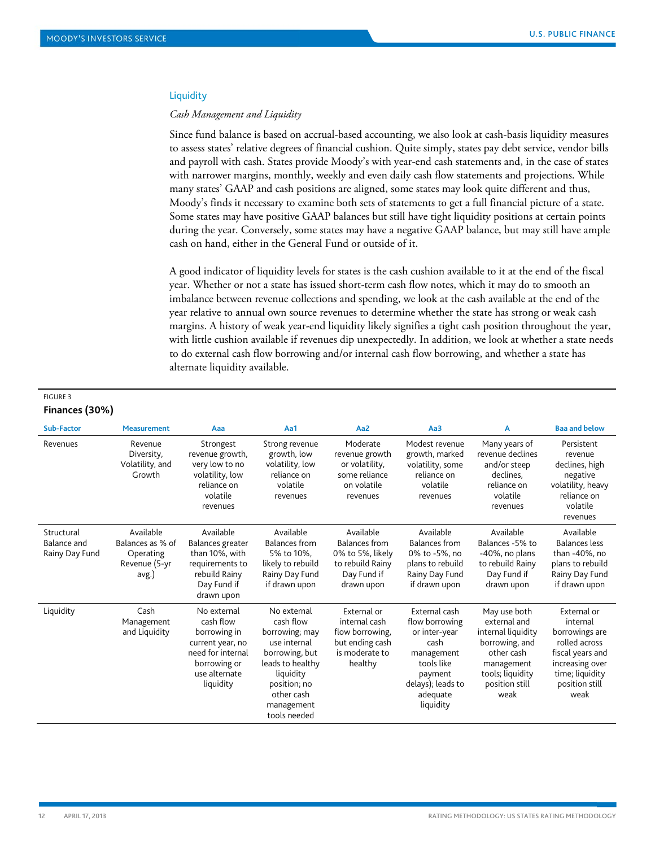#### **Liquidity**

#### *Cash Management and Liquidity*

Since fund balance is based on accrual-based accounting, we also look at cash-basis liquidity measures to assess states' relative degrees of financial cushion. Quite simply, states pay debt service, vendor bills and payroll with cash. States provide Moody's with year-end cash statements and, in the case of states with narrower margins, monthly, weekly and even daily cash flow statements and projections. While many states' GAAP and cash positions are aligned, some states may look quite different and thus, Moody's finds it necessary to examine both sets of statements to get a full financial picture of a state. Some states may have positive GAAP balances but still have tight liquidity positions at certain points during the year. Conversely, some states may have a negative GAAP balance, but may still have ample cash on hand, either in the General Fund or outside of it.

A good indicator of liquidity levels for states is the cash cushion available to it at the end of the fiscal year. Whether or not a state has issued short-term cash flow notes, which it may do to smooth an imbalance between revenue collections and spending, we look at the cash available at the end of the year relative to annual own source revenues to determine whether the state has strong or weak cash margins. A history of weak year-end liquidity likely signifies a tight cash position throughout the year, with little cushion available if revenues dip unexpectedly. In addition, we look at whether a state needs to do external cash flow borrowing and/or internal cash flow borrowing, and whether a state has alternate liquidity available.

# FIGURE 3 **Finances (30%)**

| Sub-Factor                                  | <b>Measurement</b>                                                   | Aaa                                                                                                                             | Aa1                                                                                                                                                                       | Aa <sub>2</sub>                                                                                        | Aa3                                                                                                                                           | A                                                                                                                                              | <b>Baa and below</b>                                                                                                                           |
|---------------------------------------------|----------------------------------------------------------------------|---------------------------------------------------------------------------------------------------------------------------------|---------------------------------------------------------------------------------------------------------------------------------------------------------------------------|--------------------------------------------------------------------------------------------------------|-----------------------------------------------------------------------------------------------------------------------------------------------|------------------------------------------------------------------------------------------------------------------------------------------------|------------------------------------------------------------------------------------------------------------------------------------------------|
| Revenues                                    | Revenue<br>Diversity,<br>Volatility, and<br>Growth                   | Strongest<br>revenue growth,<br>very low to no<br>volatility, low<br>reliance on<br>volatile<br>revenues                        | Strong revenue<br>growth, low<br>volatility, low<br>reliance on<br>volatile<br>revenues                                                                                   | Moderate<br>revenue growth<br>or volatility,<br>some reliance<br>on volatile<br>revenues               | Modest revenue<br>growth, marked<br>volatility, some<br>reliance on<br>volatile<br>revenues                                                   | Many years of<br>revenue declines<br>and/or steep<br>declines.<br>reliance on<br>volatile<br>revenues                                          | Persistent<br>revenue<br>declines, high<br>negative<br>volatility, heavy<br>reliance on<br>volatile<br>revenues                                |
| Structural<br>Balance and<br>Rainy Day Fund | Available<br>Balances as % of<br>Operating<br>Revenue (5-yr<br>avg.) | Available<br>Balances greater<br>than 10%, with<br>requirements to<br>rebuild Rainy<br>Day Fund if<br>drawn upon                | Available<br><b>Balances from</b><br>5% to 10%.<br>likely to rebuild<br>Rainy Day Fund<br>if drawn upon                                                                   | Available<br><b>Balances from</b><br>0% to 5%, likely<br>to rebuild Rainy<br>Day Fund if<br>drawn upon | Available<br><b>Balances from</b><br>0% to -5%, no<br>plans to rebuild<br>Rainy Day Fund<br>if drawn upon                                     | Available<br>Balances -5% to<br>-40%, no plans<br>to rebuild Rainy<br>Day Fund if<br>drawn upon                                                | Available<br><b>Balances</b> less<br>than -40%, no<br>plans to rebuild<br>Rainy Day Fund<br>if drawn upon                                      |
| Liquidity                                   | Cash<br>Management<br>and Liquidity                                  | No external<br>cash flow<br>borrowing in<br>current year, no<br>need for internal<br>borrowing or<br>use alternate<br>liquidity | No external<br>cash flow<br>borrowing; may<br>use internal<br>borrowing, but<br>leads to healthy<br>liquidity<br>position; no<br>other cash<br>management<br>tools needed | External or<br>internal cash<br>flow borrowing,<br>but ending cash<br>is moderate to<br>healthy        | External cash<br>flow borrowing<br>or inter-year<br>cash<br>management<br>tools like<br>payment<br>delays); leads to<br>adequate<br>liquidity | May use both<br>external and<br>internal liquidity<br>borrowing, and<br>other cash<br>management<br>tools; liquidity<br>position still<br>weak | External or<br>internal<br>borrowings are<br>rolled across<br>fiscal years and<br>increasing over<br>time; liquidity<br>position still<br>weak |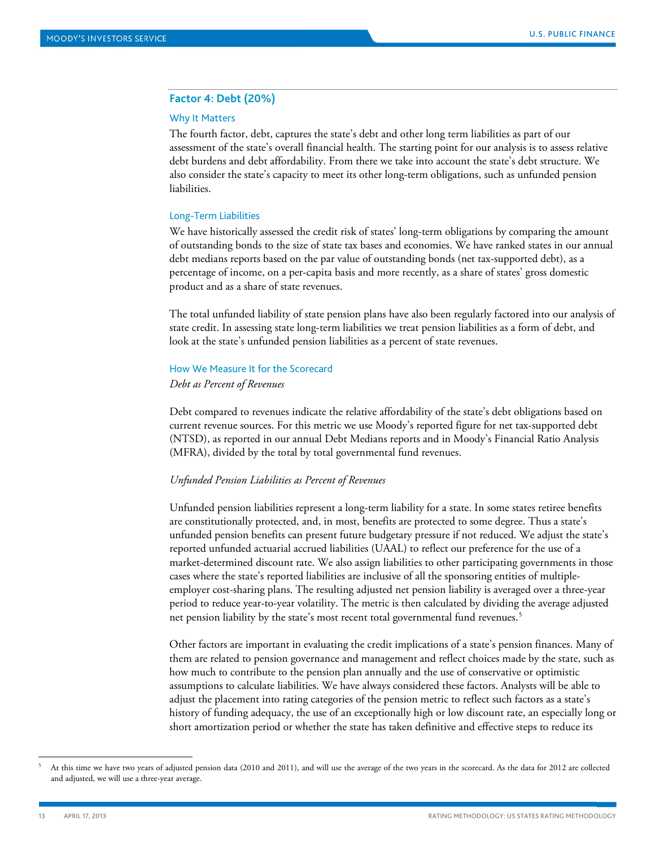# **Factor 4: Debt (20%)**

#### Why It Matters

The fourth factor, debt, captures the state's debt and other long term liabilities as part of our assessment of the state's overall financial health. The starting point for our analysis is to assess relative debt burdens and debt affordability. From there we take into account the state's debt structure. We also consider the state's capacity to meet its other long-term obligations, such as unfunded pension liabilities.

#### Long-Term Liabilities

We have historically assessed the credit risk of states' long-term obligations by comparing the amount of outstanding bonds to the size of state tax bases and economies. We have ranked states in our annual debt medians reports based on the par value of outstanding bonds (net tax-supported debt), as a percentage of income, on a per-capita basis and more recently, as a share of states' gross domestic product and as a share of state revenues.

The total unfunded liability of state pension plans have also been regularly factored into our analysis of state credit. In assessing state long-term liabilities we treat pension liabilities as a form of debt, and look at the state's unfunded pension liabilities as a percent of state revenues.

#### How We Measure It for the Scorecard

#### *Debt as Percent of Revenues*

Debt compared to revenues indicate the relative affordability of the state's debt obligations based on current revenue sources. For this metric we use Moody's reported figure for net tax-supported debt (NTSD), as reported in our annual Debt Medians reports and in Moody's Financial Ratio Analysis (MFRA), divided by the total by total governmental fund revenues.

#### *Unfunded Pension Liabilities as Percent of Revenues*

Unfunded pension liabilities represent a long-term liability for a state. In some states retiree benefits are constitutionally protected, and, in most, benefits are protected to some degree. Thus a state's unfunded pension benefits can present future budgetary pressure if not reduced. We adjust the state's reported unfunded actuarial accrued liabilities (UAAL) to reflect our preference for the use of a market-determined discount rate. We also assign liabilities to other participating governments in those cases where the state's reported liabilities are inclusive of all the sponsoring entities of multipleemployer cost-sharing plans. The resulting adjusted net pension liability is averaged over a three-year period to reduce year-to-year volatility. The metric is then calculated by dividing the average adjusted net pension liability by the state's most recent total governmental fund revenues.<sup>[5](#page-12-0)</sup>

Other factors are important in evaluating the credit implications of a state's pension finances. Many of them are related to pension governance and management and reflect choices made by the state, such as how much to contribute to the pension plan annually and the use of conservative or optimistic assumptions to calculate liabilities. We have always considered these factors. Analysts will be able to adjust the placement into rating categories of the pension metric to reflect such factors as a state's history of funding adequacy, the use of an exceptionally high or low discount rate, an especially long or short amortization period or whether the state has taken definitive and effective steps to reduce its

<span id="page-12-0"></span> <sup>5</sup> At this time we have two years of adjusted pension data (2010 and 2011), and will use the average of the two years in the scorecard. As the data for 2012 are collected and adjusted, we will use a three-year average.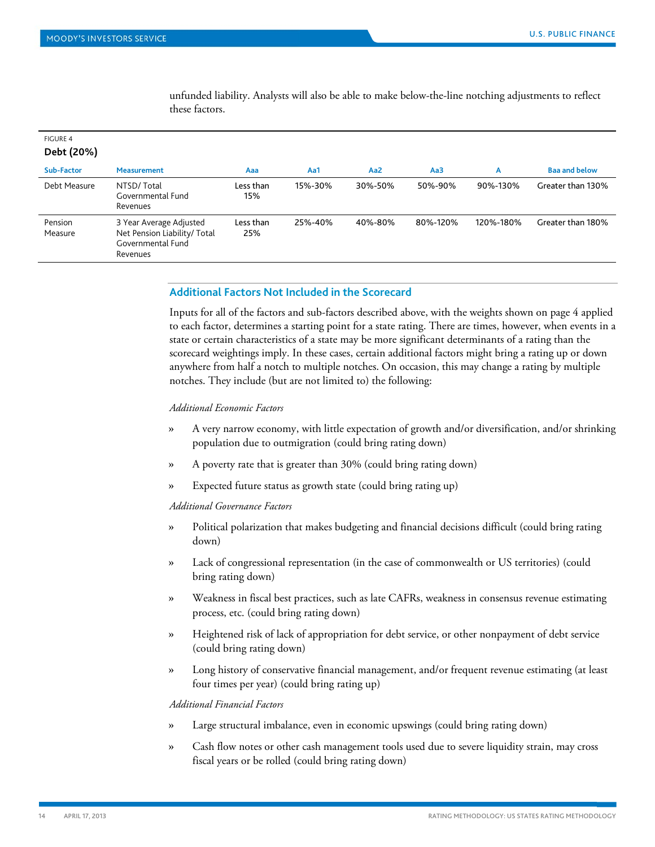| <b>FIGURE 4</b><br>Debt (20%) |                                                                                          |                  |         |                 |          |           |                      |
|-------------------------------|------------------------------------------------------------------------------------------|------------------|---------|-----------------|----------|-----------|----------------------|
| Sub-Factor                    | <b>Measurement</b>                                                                       | Aaa              | Aa1     | Aa <sub>2</sub> | Aa3      | A         | <b>Baa and below</b> |
| Debt Measure                  | NTSD/Total<br>Governmental Fund<br>Revenues                                              | Less than<br>15% | 15%-30% | 30%-50%         | 50%-90%  | 90%-130%  | Greater than 130%    |
| Pension<br>Measure            | 3 Year Average Adjusted<br>Net Pension Liability/ Total<br>Governmental Fund<br>Revenues | Less than<br>25% | 25%-40% | 40%-80%         | 80%-120% | 120%-180% | Greater than 180%    |

unfunded liability. Analysts will also be able to make below-the-line notching adjustments to reflect these factors.

# **Additional Factors Not Included in the Scorecard**

Inputs for all of the factors and sub-factors described above, with the weights shown on page 4 applied to each factor, determines a starting point for a state rating. There are times, however, when events in a state or certain characteristics of a state may be more significant determinants of a rating than the scorecard weightings imply. In these cases, certain additional factors might bring a rating up or down anywhere from half a notch to multiple notches. On occasion, this may change a rating by multiple notches. They include (but are not limited to) the following:

#### *Additional Economic Factors*

- » A very narrow economy, with little expectation of growth and/or diversification, and/or shrinking population due to outmigration (could bring rating down)
- » A poverty rate that is greater than 30% (could bring rating down)
- » Expected future status as growth state (could bring rating up)

# *Additional Governance Factors*

- » Political polarization that makes budgeting and financial decisions difficult (could bring rating down)
- » Lack of congressional representation (in the case of commonwealth or US territories) (could bring rating down)
- » Weakness in fiscal best practices, such as late CAFRs, weakness in consensus revenue estimating process, etc. (could bring rating down)
- » Heightened risk of lack of appropriation for debt service, or other nonpayment of debt service (could bring rating down)
- » Long history of conservative financial management, and/or frequent revenue estimating (at least four times per year) (could bring rating up)

# *Additional Financial Factors*

- » Large structural imbalance, even in economic upswings (could bring rating down)
- » Cash flow notes or other cash management tools used due to severe liquidity strain, may cross fiscal years or be rolled (could bring rating down)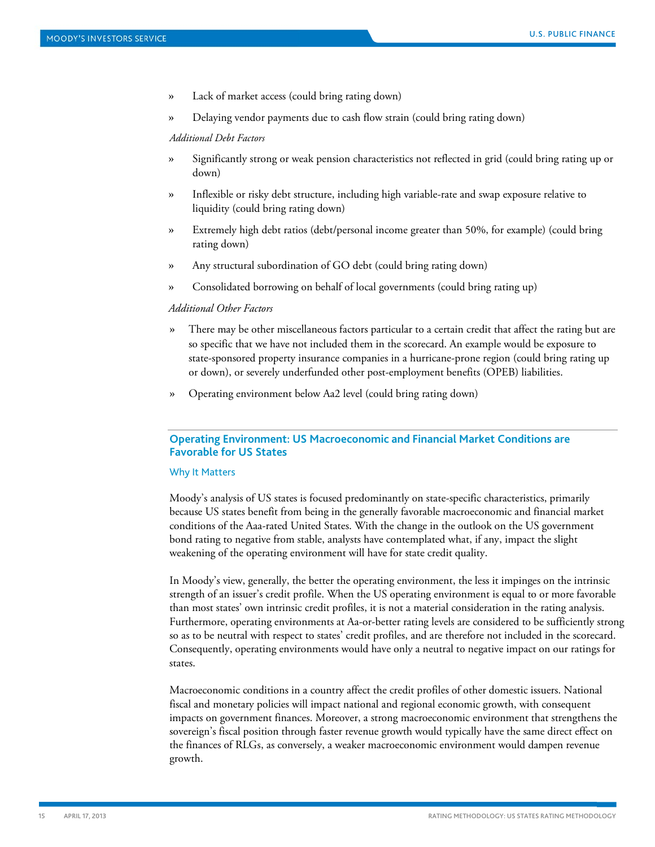- » Lack of market access (could bring rating down)
- » Delaying vendor payments due to cash flow strain (could bring rating down)

*Additional Debt Factors*

- » Significantly strong or weak pension characteristics not reflected in grid (could bring rating up or down)
- » Inflexible or risky debt structure, including high variable-rate and swap exposure relative to liquidity (could bring rating down)
- » Extremely high debt ratios (debt/personal income greater than 50%, for example) (could bring rating down)
- » Any structural subordination of GO debt (could bring rating down)
- » Consolidated borrowing on behalf of local governments (could bring rating up)

## *Additional Other Factors*

- » There may be other miscellaneous factors particular to a certain credit that affect the rating but are so specific that we have not included them in the scorecard. An example would be exposure to state-sponsored property insurance companies in a hurricane-prone region (could bring rating up or down), or severely underfunded other post-employment benefits (OPEB) liabilities.
- » Operating environment below Aa2 level (could bring rating down)

# **Operating Environment: US Macroeconomic and Financial Market Conditions are Favorable for US States**

# Why It Matters

Moody's analysis of US states is focused predominantly on state-specific characteristics, primarily because US states benefit from being in the generally favorable macroeconomic and financial market conditions of the Aaa-rated United States. With the change in the outlook on the US government bond rating to negative from stable, analysts have contemplated what, if any, impact the slight weakening of the operating environment will have for state credit quality.

In Moody's view, generally, the better the operating environment, the less it impinges on the intrinsic strength of an issuer's credit profile. When the US operating environment is equal to or more favorable than most states' own intrinsic credit profiles, it is not a material consideration in the rating analysis. Furthermore, operating environments at Aa-or-better rating levels are considered to be sufficiently strong so as to be neutral with respect to states' credit profiles, and are therefore not included in the scorecard. Consequently, operating environments would have only a neutral to negative impact on our ratings for states.

Macroeconomic conditions in a country affect the credit profiles of other domestic issuers. National fiscal and monetary policies will impact national and regional economic growth, with consequent impacts on government finances. Moreover, a strong macroeconomic environment that strengthens the sovereign's fiscal position through faster revenue growth would typically have the same direct effect on the finances of RLGs, as conversely, a weaker macroeconomic environment would dampen revenue growth.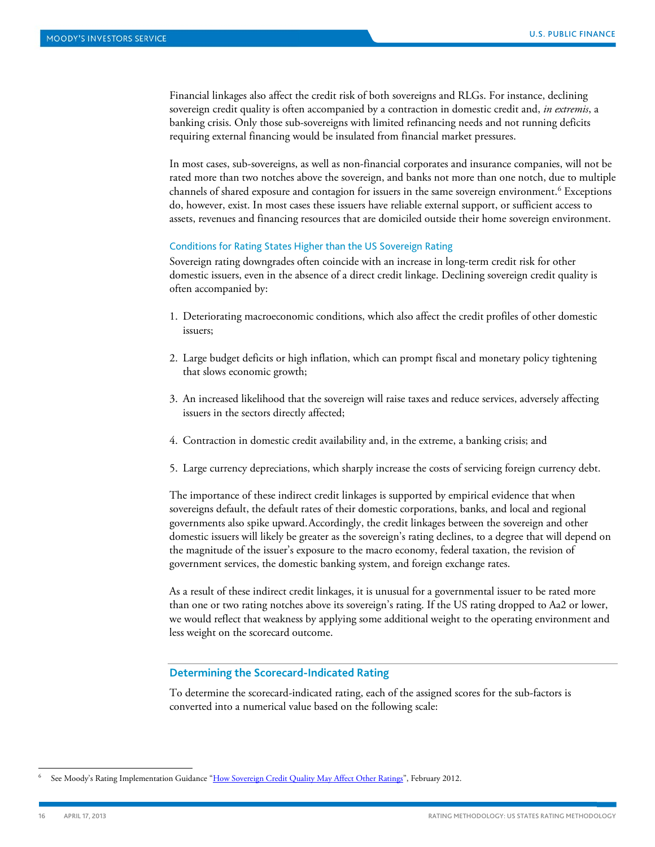Financial linkages also affect the credit risk of both sovereigns and RLGs. For instance, declining sovereign credit quality is often accompanied by a contraction in domestic credit and, *in extremis*, a banking crisis. Only those sub-sovereigns with limited refinancing needs and not running deficits requiring external financing would be insulated from financial market pressures.

In most cases, sub-sovereigns, as well as non-financial corporates and insurance companies, will not be rated more than two notches above the sovereign, and banks not more than one notch, due to multiple channels of shared exposure and contagion for issuers in the same sovereign environment. [6](#page-15-0) Exceptions do, however, exist. In most cases these issuers have reliable external support, or sufficient access to assets, revenues and financing resources that are domiciled outside their home sovereign environment.

#### Conditions for Rating States Higher than the US Sovereign Rating

Sovereign rating downgrades often coincide with an increase in long-term credit risk for other domestic issuers, even in the absence of a direct credit linkage. Declining sovereign credit quality is often accompanied by:

- 1. Deteriorating macroeconomic conditions, which also affect the credit profiles of other domestic issuers;
- 2. Large budget deficits or high inflation, which can prompt fiscal and monetary policy tightening that slows economic growth;
- 3. An increased likelihood that the sovereign will raise taxes and reduce services, adversely affecting issuers in the sectors directly affected;
- 4. Contraction in domestic credit availability and, in the extreme, a banking crisis; and
- 5. Large currency depreciations, which sharply increase the costs of servicing foreign currency debt.

The importance of these indirect credit linkages is supported by empirical evidence that when sovereigns default, the default rates of their domestic corporations, banks, and local and regional governments also spike upward.Accordingly, the credit linkages between the sovereign and other domestic issuers will likely be greater as the sovereign's rating declines, to a degree that will depend on the magnitude of the issuer's exposure to the macro economy, federal taxation, the revision of government services, the domestic banking system, and foreign exchange rates.

As a result of these indirect credit linkages, it is unusual for a governmental issuer to be rated more than one or two rating notches above its sovereign's rating. If the US rating dropped to Aa2 or lower, we would reflect that weakness by applying some additional weight to the operating environment and less weight on the scorecard outcome.

#### **Determining the Scorecard-Indicated Rating**

To determine the scorecard-indicated rating, each of the assigned scores for the sub-factors is converted into a numerical value based on the following scale:

<span id="page-15-0"></span>See Moody's Rating Implementation Guidance ["How Sovereign Credit Quality May Affect Other Ratings"](http://www.moodys.com/viewresearchdoc.aspx?docid=PBC_139495), February 2012.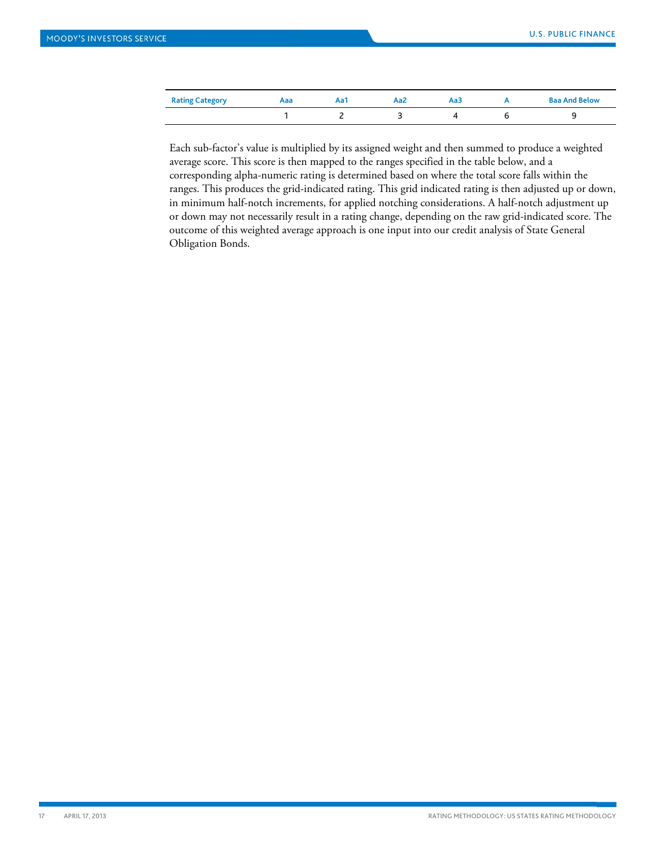| <b>Rating Category</b> | Aaa | Aa1 | Aa2 | АаЗ | <b>Baa And Below</b> |
|------------------------|-----|-----|-----|-----|----------------------|
|                        |     |     |     |     |                      |

Each sub-factor's value is multiplied by its assigned weight and then summed to produce a weighted average score. This score is then mapped to the ranges specified in the table below, and a corresponding alpha-numeric rating is determined based on where the total score falls within the ranges. This produces the grid-indicated rating. This grid indicated rating is then adjusted up or down, in minimum half-notch increments, for applied notching considerations. A half-notch adjustment up or down may not necessarily result in a rating change, depending on the raw grid-indicated score. The outcome of this weighted average approach is one input into our credit analysis of State General Obligation Bonds.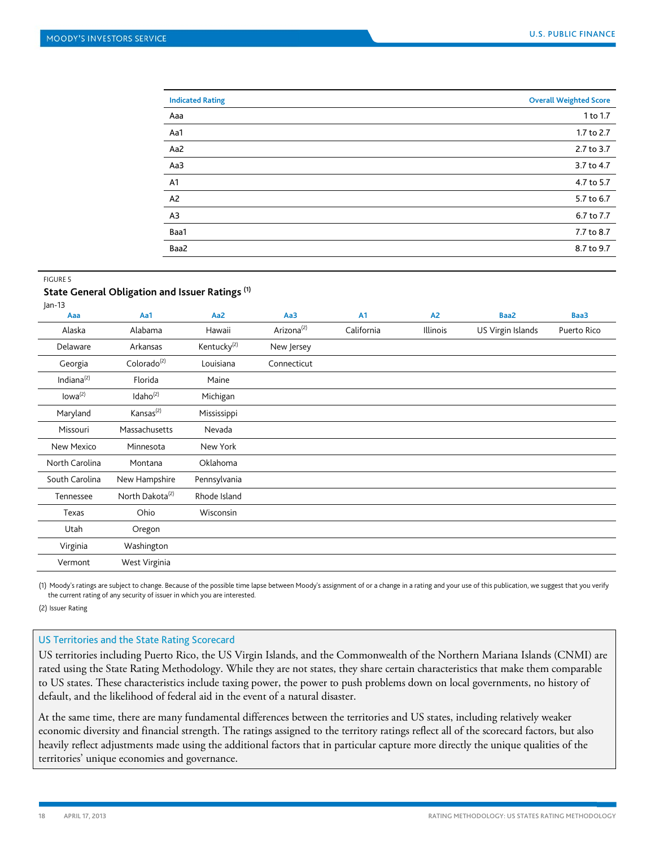| <b>Indicated Rating</b> | <b>Overall Weighted Score</b> |
|-------------------------|-------------------------------|
| Aaa                     | 1 to 1.7                      |
| Aa1                     | 1.7 to 2.7                    |
| Aa2                     | 2.7 to 3.7                    |
| Aa3                     | 3.7 to 4.7                    |
| A1                      | 4.7 to 5.7                    |
| A <sub>2</sub>          | 5.7 to 6.7                    |
| A3                      | 6.7 to 7.7                    |
| Baa1                    | 7.7 to 8.7                    |
| Baa2                    | 8.7 to 9.7                    |

#### FIGURE 5

# **State General Obligation and Issuer Ratings (1)**

| $ an-13 $           |                             |                         |                        |            |                |                   |             |
|---------------------|-----------------------------|-------------------------|------------------------|------------|----------------|-------------------|-------------|
| Aaa                 | Aa1                         | Aa2                     | Aa3                    | A1         | A <sub>2</sub> | Baa2              | Baa3        |
| Alaska              | Alabama                     | Hawaii                  | Arizona <sup>(2)</sup> | California | Illinois       | US Virgin Islands | Puerto Rico |
| Delaware            | Arkansas                    | Kentucky <sup>(2)</sup> | New Jersey             |            |                |                   |             |
| Georgia             | Colorado <sup>(2)</sup>     | Louisiana               | Connecticut            |            |                |                   |             |
| Indiana $^{(2)}$    | Florida                     | Maine                   |                        |            |                |                   |             |
| Iowa <sup>(2)</sup> | Idaho <sup>(2)</sup>        | Michigan                |                        |            |                |                   |             |
| Maryland            | Kansas <sup>(2)</sup>       | Mississippi             |                        |            |                |                   |             |
| Missouri            | Massachusetts               | Nevada                  |                        |            |                |                   |             |
| New Mexico          | Minnesota                   | New York                |                        |            |                |                   |             |
| North Carolina      | Montana                     | Oklahoma                |                        |            |                |                   |             |
| South Carolina      | New Hampshire               | Pennsylvania            |                        |            |                |                   |             |
| Tennessee           | North Dakota <sup>(2)</sup> | Rhode Island            |                        |            |                |                   |             |
| Texas               | Ohio                        | Wisconsin               |                        |            |                |                   |             |
| Utah                | Oregon                      |                         |                        |            |                |                   |             |
| Virginia            | Washington                  |                         |                        |            |                |                   |             |
| Vermont             | West Virginia               |                         |                        |            |                |                   |             |
|                     |                             |                         |                        |            |                |                   |             |

(1) Moody's ratings are subject to change. Because of the possible time lapse between Moody's assignment of or a change in a rating and your use of this publication, we suggest that you verify the current rating of any security of issuer in which you are interested.

(2) Issuer Rating

#### US Territories and the State Rating Scorecard

US territories including Puerto Rico, the US Virgin Islands, and the Commonwealth of the Northern Mariana Islands (CNMI) are rated using the State Rating Methodology. While they are not states, they share certain characteristics that make them comparable to US states. These characteristics include taxing power, the power to push problems down on local governments, no history of default, and the likelihood of federal aid in the event of a natural disaster.

At the same time, there are many fundamental differences between the territories and US states, including relatively weaker economic diversity and financial strength. The ratings assigned to the territory ratings reflect all of the scorecard factors, but also heavily reflect adjustments made using the additional factors that in particular capture more directly the unique qualities of the territories' unique economies and governance.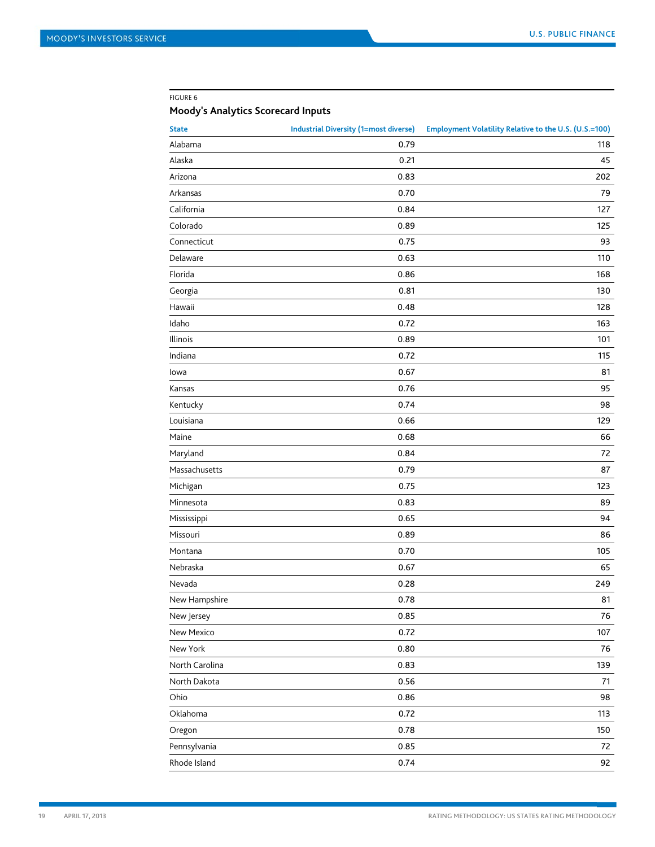#### FIGURE 6

# **Moody's Analytics Scorecard Inputs**

| <b>State</b>   | <b>Industrial Diversity (1=most diverse)</b> | Employment Volatility Relative to the U.S. (U.S.=100) |
|----------------|----------------------------------------------|-------------------------------------------------------|
| Alabama        | 0.79                                         | 118                                                   |
| Alaska         | 0.21                                         | 45                                                    |
| Arizona        | 0.83                                         | 202                                                   |
| Arkansas       | 0.70                                         | 79                                                    |
| California     | 0.84                                         | 127                                                   |
| Colorado       | 0.89                                         | 125                                                   |
| Connecticut    | 0.75                                         | 93                                                    |
| Delaware       | 0.63                                         | 110                                                   |
| Florida        | 0.86                                         | 168                                                   |
| Georgia        | 0.81                                         | 130                                                   |
| Hawaii         | 0.48                                         | 128                                                   |
| Idaho          | 0.72                                         | 163                                                   |
| Illinois       | 0.89                                         | 101                                                   |
| Indiana        | 0.72                                         | 115                                                   |
| lowa           | 0.67                                         | 81                                                    |
| Kansas         | 0.76                                         | 95                                                    |
| Kentucky       | 0.74                                         | 98                                                    |
| Louisiana      | 0.66                                         | 129                                                   |
| Maine          | 0.68                                         | 66                                                    |
| Maryland       | 0.84                                         | 72                                                    |
| Massachusetts  | 0.79                                         | 87                                                    |
| Michigan       | 0.75                                         | 123                                                   |
| Minnesota      | 0.83                                         | 89                                                    |
| Mississippi    | 0.65                                         | 94                                                    |
| Missouri       | 0.89                                         | 86                                                    |
| Montana        | 0.70                                         | 105                                                   |
| Nebraska       | 0.67                                         | 65                                                    |
| Nevada         | 0.28                                         | 249                                                   |
| New Hampshire  | 0.78                                         | 81                                                    |
| New Jersey     | 0.85                                         | 76                                                    |
| New Mexico     | 0.72                                         | $107\,$                                               |
| New York       | 0.80                                         | 76                                                    |
| North Carolina | 0.83                                         | 139                                                   |
| North Dakota   | 0.56                                         | 71                                                    |
| Ohio           | 0.86                                         | 98                                                    |
| Oklahoma       | 0.72                                         | 113                                                   |
| Oregon         | 0.78                                         | 150                                                   |
| Pennsylvania   | 0.85                                         | 72                                                    |
| Rhode Island   | 0.74                                         | 92                                                    |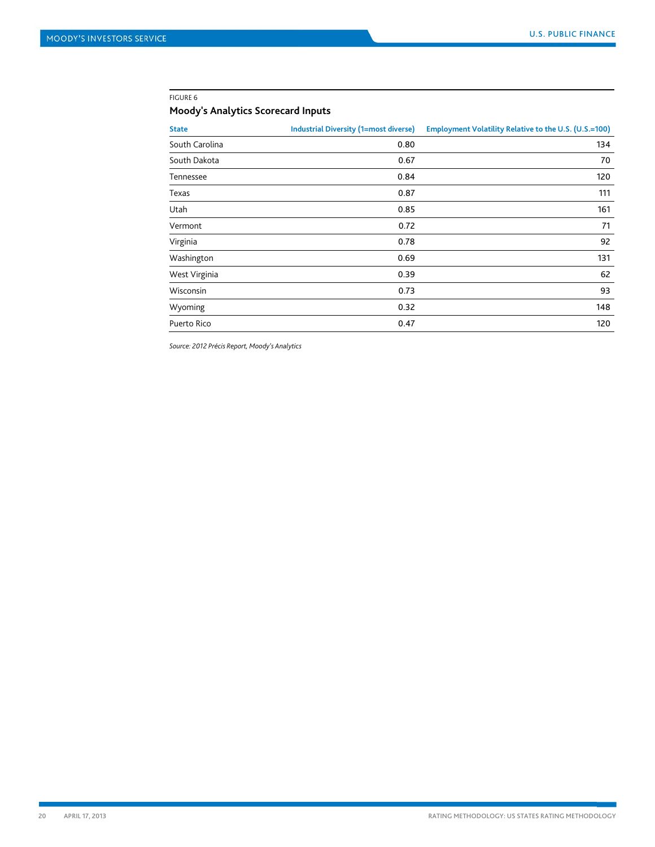#### FIGURE 6

# **Moody's Analytics Scorecard Inputs**

| <b>State</b>   | <b>Industrial Diversity (1=most diverse)</b> | Employment Volatility Relative to the U.S. (U.S.=100) |
|----------------|----------------------------------------------|-------------------------------------------------------|
| South Carolina | 0.80                                         | 134                                                   |
| South Dakota   | 0.67                                         | 70                                                    |
| Tennessee      | 0.84                                         | 120                                                   |
| Texas          | 0.87                                         | 111                                                   |
| Utah           | 0.85                                         | 161                                                   |
| Vermont        | 0.72                                         | 71                                                    |
| Virginia       | 0.78                                         | 92                                                    |
| Washington     | 0.69                                         | 131                                                   |
| West Virginia  | 0.39                                         | 62                                                    |
| Wisconsin      | 0.73                                         | 93                                                    |
| Wyoming        | 0.32                                         | 148                                                   |
| Puerto Rico    | 0.47                                         | 120                                                   |

*Source: 2012 Précis Report, Moody's Analytics*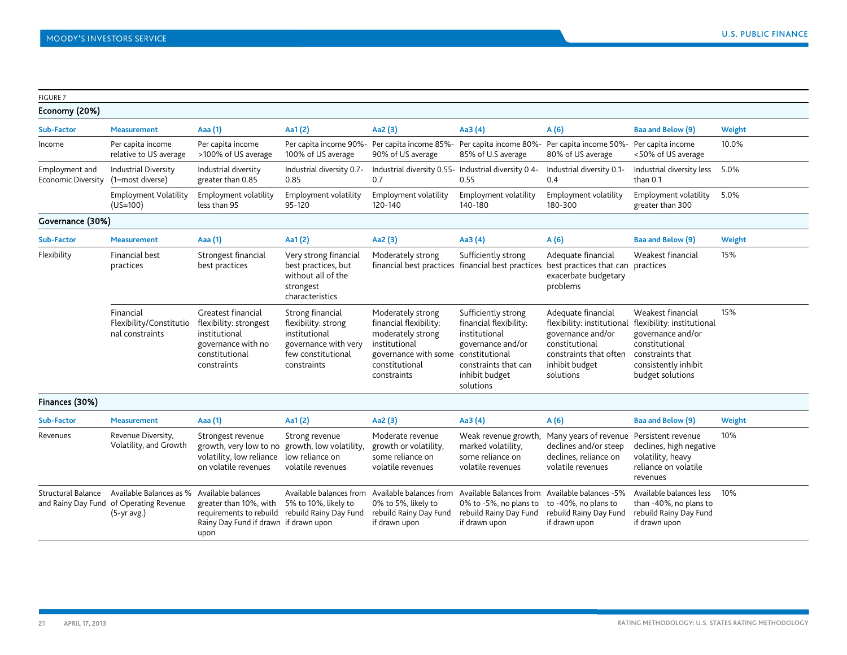| <b>FIGURE 7</b>                      |                                                                                     |                                                                                                                                                 |                                                                                                                       |                                                                                                                                                           |                                                                                                                                             |                                                                                                                                                  |                                                                                                                                                        |        |
|--------------------------------------|-------------------------------------------------------------------------------------|-------------------------------------------------------------------------------------------------------------------------------------------------|-----------------------------------------------------------------------------------------------------------------------|-----------------------------------------------------------------------------------------------------------------------------------------------------------|---------------------------------------------------------------------------------------------------------------------------------------------|--------------------------------------------------------------------------------------------------------------------------------------------------|--------------------------------------------------------------------------------------------------------------------------------------------------------|--------|
| Economy (20%)                        |                                                                                     |                                                                                                                                                 |                                                                                                                       |                                                                                                                                                           |                                                                                                                                             |                                                                                                                                                  |                                                                                                                                                        |        |
| Sub-Factor                           | <b>Measurement</b>                                                                  | Aaa (1)                                                                                                                                         | Aa $1(2)$                                                                                                             | Aa2 (3)                                                                                                                                                   | Aa3 $(4)$                                                                                                                                   | A(6)                                                                                                                                             | Baa and Below (9)                                                                                                                                      | Weight |
| Income                               | Per capita income<br>relative to US average                                         | Per capita income<br>>100% of US average                                                                                                        | Per capita income 90%-<br>100% of US average                                                                          | 90% of US average                                                                                                                                         | Per capita income 85% - Per capita income 80%-<br>85% of U.S average                                                                        | Per capita income 50%-<br>80% of US average                                                                                                      | Per capita income<br><50% of US average                                                                                                                | 10.0%  |
| Employment and<br>Economic Diversity | <b>Industrial Diversity</b><br>(1=most diverse)                                     | Industrial diversity<br>greater than 0.85                                                                                                       | Industrial diversity 0.7-<br>0.85                                                                                     | Industrial diversity 0.55- Industrial diversity 0.4-<br>0.7                                                                                               | 0.55                                                                                                                                        | Industrial diversity 0.1-<br>0.4                                                                                                                 | Industrial diversity less<br>than 0.1                                                                                                                  | 5.0%   |
|                                      | <b>Employment Volatility</b><br>$(US=100)$                                          | Employment volatility<br>less than 95                                                                                                           | Employment volatility<br>95-120                                                                                       | Employment volatility<br>120-140                                                                                                                          | Employment volatility<br>140-180                                                                                                            | Employment volatility<br>180-300                                                                                                                 | Employment volatility<br>greater than 300                                                                                                              | 5.0%   |
| Governance (30%)                     |                                                                                     |                                                                                                                                                 |                                                                                                                       |                                                                                                                                                           |                                                                                                                                             |                                                                                                                                                  |                                                                                                                                                        |        |
| Sub-Factor                           | <b>Measurement</b>                                                                  | Aaa (1)                                                                                                                                         | Aa $1(2)$                                                                                                             | Aa2 (3)                                                                                                                                                   | Aa3 $(4)$                                                                                                                                   | A(6)                                                                                                                                             | Baa and Below (9)                                                                                                                                      | Weight |
| Flexibility                          | <b>Financial best</b><br>practices                                                  | Strongest financial<br>best practices                                                                                                           | Very strong financial<br>best practices, but<br>without all of the<br>strongest<br>characteristics                    | Moderately strong                                                                                                                                         | Sufficiently strong<br>financial best practices financial best practices                                                                    | Adequate financial<br>best practices that can practices<br>exacerbate budgetary<br>problems                                                      | Weakest financial                                                                                                                                      | 15%    |
|                                      | Financial<br>Flexibility/Constitutio<br>nal constraints                             | Greatest financial<br>flexibility: strongest<br>institutional<br>governance with no<br>constitutional<br>constraints                            | Strong financial<br>flexibility: strong<br>institutional<br>governance with very<br>few constitutional<br>constraints | Moderately strong<br>financial flexibility:<br>moderately strong<br>institutional<br>governance with some constitutional<br>constitutional<br>constraints | Sufficiently strong<br>financial flexibility:<br>institutional<br>governance and/or<br>constraints that can<br>inhibit budget<br>solutions  | Adequate financial<br>flexibility: institutional<br>governance and/or<br>constitutional<br>constraints that often<br>inhibit budget<br>solutions | Weakest financial<br>flexibility: institutional<br>governance and/or<br>constitutional<br>constraints that<br>consistently inhibit<br>budget solutions | 15%    |
| Finances (30%)                       |                                                                                     |                                                                                                                                                 |                                                                                                                       |                                                                                                                                                           |                                                                                                                                             |                                                                                                                                                  |                                                                                                                                                        |        |
| <b>Sub-Factor</b>                    | <b>Measurement</b>                                                                  | Aaa (1)                                                                                                                                         | Aa $1(2)$                                                                                                             | Aa2 (3)                                                                                                                                                   | Aa3 $(4)$                                                                                                                                   | A(6)                                                                                                                                             | Baa and Below (9)                                                                                                                                      | Weight |
| Revenues                             | Revenue Diversity,<br>Volatility, and Growth                                        | Strongest revenue<br>growth, very low to no growth, low volatility,<br>volatility, low reliance<br>on volatile revenues                         | Strong revenue<br>low reliance on<br>volatile revenues                                                                | Moderate revenue<br>growth or volatility,<br>some reliance on<br>volatile revenues                                                                        | Weak revenue growth,<br>marked volatility,<br>some reliance on<br>volatile revenues                                                         | Many years of revenue Persistent revenue<br>declines and/or steep<br>declines, reliance on<br>volatile revenues                                  | declines, high negative<br>volatility, heavy<br>reliance on volatile<br>revenues                                                                       | 10%    |
| <b>Structural Balance</b>            | Available Balances as %<br>and Rainy Day Fund of Operating Revenue<br>$(5-yr$ avg.) | Available balances<br>greater than 10%, with<br>requirements to rebuild rebuild Rainy Day Fund<br>Rainy Day Fund if drawn if drawn upon<br>upon | Available balances from<br>5% to 10%, likely to                                                                       | 0% to 5%, likely to<br>rebuild Rainy Day Fund<br>if drawn upon                                                                                            | Available balances from Available Balances from Available balances -5%<br>0% to -5%, no plans to<br>rebuild Rainy Day Fund<br>if drawn upon | to -40%, no plans to<br>rebuild Rainy Day Fund<br>if drawn upon                                                                                  | Available balances less<br>than -40%, no plans to<br>rebuild Rainy Day Fund<br>if drawn upon                                                           | 10%    |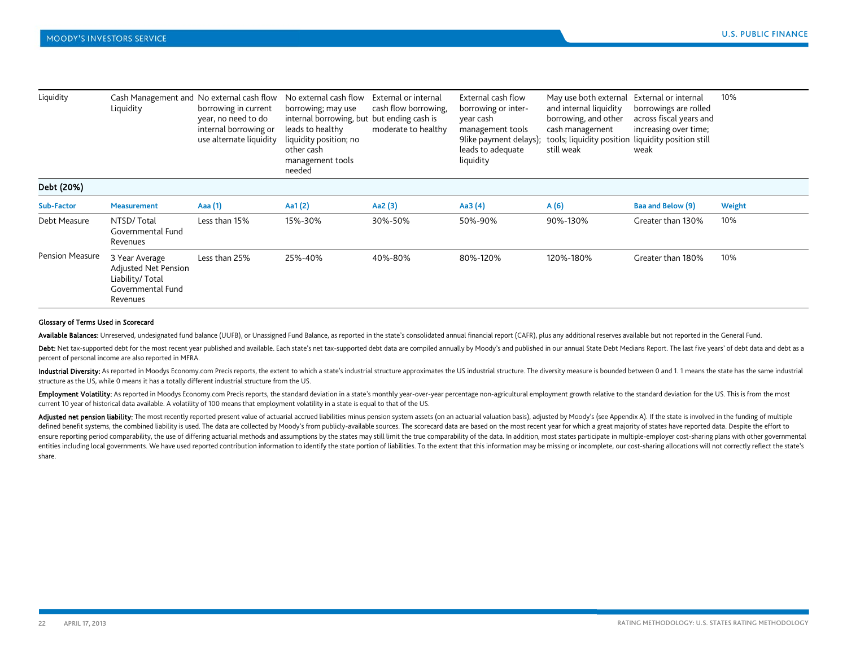| Liquidity              | Liquidity                                                                                   | Cash Management and No external cash flow<br>borrowing in current<br>year, no need to do<br>internal borrowing or<br>use alternate liquidity | No external cash flow<br>borrowing; may use<br>internal borrowing, but<br>leads to healthy<br>liquidity position; no<br>other cash<br>management tools<br>needed | External or internal<br>cash flow borrowing,<br>but ending cash is<br>moderate to healthy | External cash flow<br>borrowing or inter-<br>year cash<br>management tools<br>9like payment delays);<br>leads to adequate<br>liquidity | May use both external<br>and internal liquidity<br>borrowing, and other<br>cash management<br>tools; liquidity position<br>still weak | External or internal<br>borrowings are rolled<br>across fiscal years and<br>increasing over time;<br>liquidity position still<br>weak | 10%    |
|------------------------|---------------------------------------------------------------------------------------------|----------------------------------------------------------------------------------------------------------------------------------------------|------------------------------------------------------------------------------------------------------------------------------------------------------------------|-------------------------------------------------------------------------------------------|----------------------------------------------------------------------------------------------------------------------------------------|---------------------------------------------------------------------------------------------------------------------------------------|---------------------------------------------------------------------------------------------------------------------------------------|--------|
| Debt (20%)             |                                                                                             |                                                                                                                                              |                                                                                                                                                                  |                                                                                           |                                                                                                                                        |                                                                                                                                       |                                                                                                                                       |        |
| Sub-Factor             | <b>Measurement</b>                                                                          | Aaa (1)                                                                                                                                      | Aa1 $(2)$                                                                                                                                                        | Aa2 (3)                                                                                   | Aa3 (4)                                                                                                                                | A(6)                                                                                                                                  | Baa and Below (9)                                                                                                                     | Weight |
| Debt Measure           | NTSD/Total<br>Governmental Fund<br>Revenues                                                 | Less than 15%                                                                                                                                | 15%-30%                                                                                                                                                          | 30%-50%                                                                                   | 50%-90%                                                                                                                                | 90%-130%                                                                                                                              | Greater than 130%                                                                                                                     | 10%    |
| <b>Pension Measure</b> | 3 Year Average<br>Adjusted Net Pension<br>Liability/ Total<br>Governmental Fund<br>Revenues | Less than 25%                                                                                                                                | 25%-40%                                                                                                                                                          | 40%-80%                                                                                   | 80%-120%                                                                                                                               | 120%-180%                                                                                                                             | Greater than 180%                                                                                                                     | 10%    |

#### Glossary of Terms Used in Scorecard

Available Balances: Unreserved, undesignated fund balance (UUFB), or Unassigned Fund Balance, as reported in the state's consolidated annual financial report (CAFR), plus any additional reserves available but not reported

Debt: Net tax-supported debt for the most recent year published and available. Each state's net tax-supported debt data are compiled annually by Moody's and published in our annual State Debt Medians Report. The last five percent of personal income are also reported in MFRA.

Industrial Diversity: As reported in Moodys Economy.com Precis reports, the extent to which a state's industrial structure approximates the US industrial structure. The diversity measure is bounded between 0 and 1.1 means structure as the US, while 0 means it has a totally different industrial structure from the US.

Employment Volatility: As reported in Moodys Economy.com Precis reports, the standard deviation in a state's monthly year-over-year percentage non-agricultural employment growth relative to the standard deviation for the U current 10 year of historical data available. A volatility of 100 means that employment volatility in a state is equal to that of the US.

Adjusted net pension liability: The most recently reported present value of actuarial accrued liabilities minus pension system assets (on an actuarial valuation basis), adjusted by Moody's (see Appendix A). If the state is defined benefit systems, the combined liability is used. The data are collected by Moody's from publicly-available sources. The scorecard data are based on the most recent year for which a great majority of states have rep ensure reporting period comparability, the use of differing actuarial methods and assumptions by the states may still limit the true comparability of the data. In addition, most states participate in multiple-employer cost entities including local governments. We have used reported contribution information to identify the state portion of liabilities. To the extent that this information may be missing or incomplete, our cost-sharing allocati share.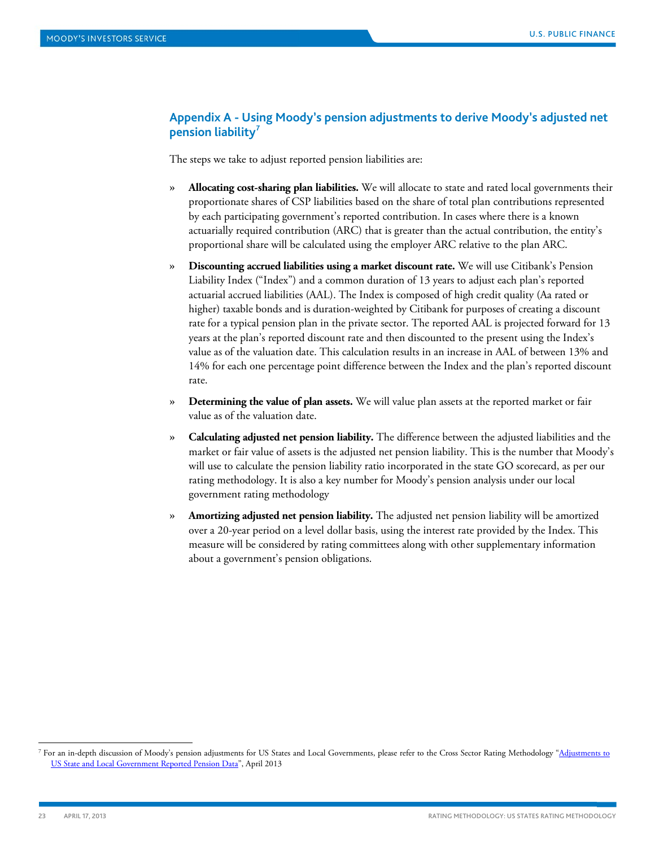# **Appendix A - Using Moody's pension adjustments to derive Moody's adjusted net pension liability[7](#page-22-0)**

The steps we take to adjust reported pension liabilities are:

- » **Allocating cost-sharing plan liabilities.** We will allocate to state and rated local governments their proportionate shares of CSP liabilities based on the share of total plan contributions represented by each participating government's reported contribution. In cases where there is a known actuarially required contribution (ARC) that is greater than the actual contribution, the entity's proportional share will be calculated using the employer ARC relative to the plan ARC.
- » **Discounting accrued liabilities using a market discount rate.** We will use Citibank's Pension Liability Index ("Index") and a common duration of 13 years to adjust each plan's reported actuarial accrued liabilities (AAL). The Index is composed of high credit quality (Aa rated or higher) taxable bonds and is duration-weighted by Citibank for purposes of creating a discount rate for a typical pension plan in the private sector. The reported AAL is projected forward for 13 years at the plan's reported discount rate and then discounted to the present using the Index's value as of the valuation date. This calculation results in an increase in AAL of between 13% and 14% for each one percentage point difference between the Index and the plan's reported discount rate.
- » **Determining the value of plan assets.** We will value plan assets at the reported market or fair value as of the valuation date.
- » **Calculating adjusted net pension liability.** The difference between the adjusted liabilities and the market or fair value of assets is the adjusted net pension liability. This is the number that Moody's will use to calculate the pension liability ratio incorporated in the state GO scorecard, as per our rating methodology. It is also a key number for Moody's pension analysis under our local government rating methodology
- » **Amortizing adjusted net pension liability.** The adjusted net pension liability will be amortized over a 20-year period on a level dollar basis, using the interest rate provided by the Index. This measure will be considered by rating committees along with other supplementary information about a government's pension obligations.

<span id="page-22-0"></span><sup>&</sup>lt;sup>7</sup> For an in-depth discussion of Moody's pension adjustments for US States and Local Governments, please refer to the Cross Sector Rating Methodology "<u>Adjustments to</u> [US State and Local Government Reported Pension Data"](http://www.moodys.com/viewresearchdoc.aspx?docid=PBM_PBM151398), April 2013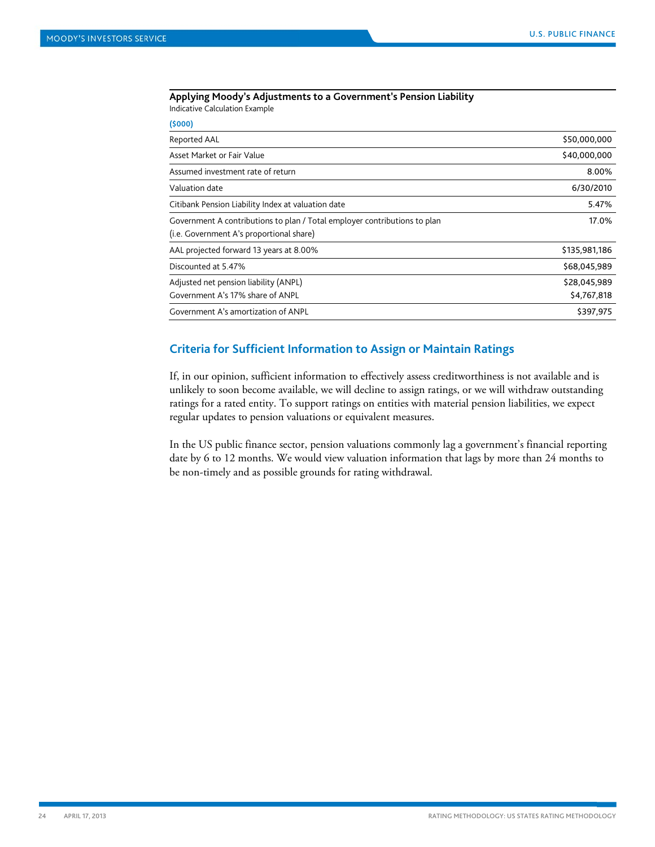#### **Applying Moody's Adjustments to a Government's Pension Liability** Indicative Calculation Example

**(\$000)**

| (5000)                                                                                                                |               |
|-----------------------------------------------------------------------------------------------------------------------|---------------|
| Reported AAL                                                                                                          | \$50,000,000  |
| Asset Market or Fair Value                                                                                            | \$40,000,000  |
| Assumed investment rate of return                                                                                     | 8.00%         |
| Valuation date                                                                                                        | 6/30/2010     |
| Citibank Pension Liability Index at valuation date                                                                    | 5.47%         |
| Government A contributions to plan / Total employer contributions to plan<br>(i.e. Government A's proportional share) | 17.0%         |
| AAL projected forward 13 years at 8.00%                                                                               | \$135,981,186 |
| Discounted at 5.47%                                                                                                   | \$68,045,989  |
| Adjusted net pension liability (ANPL)                                                                                 | \$28,045,989  |
| Government A's 17% share of ANPL                                                                                      | \$4,767,818   |
| Government A's amortization of ANPL                                                                                   | \$397,975     |
|                                                                                                                       |               |

# **Criteria for Sufficient Information to Assign or Maintain Ratings**

If, in our opinion, sufficient information to effectively assess creditworthiness is not available and is unlikely to soon become available, we will decline to assign ratings, or we will withdraw outstanding ratings for a rated entity. To support ratings on entities with material pension liabilities, we expect regular updates to pension valuations or equivalent measures.

In the US public finance sector, pension valuations commonly lag a government's financial reporting date by 6 to 12 months. We would view valuation information that lags by more than 24 months to be non-timely and as possible grounds for rating withdrawal.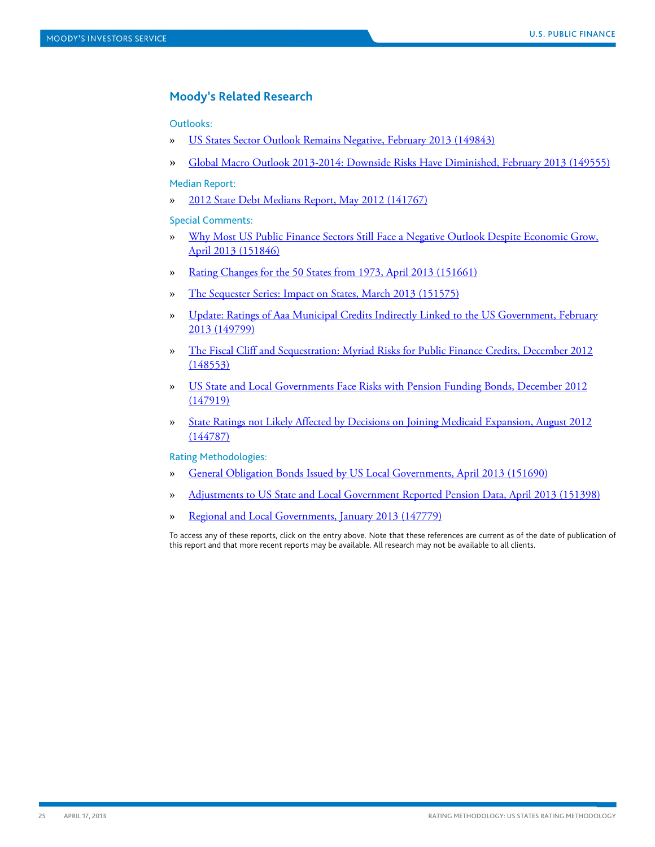# **Moody's Related Research**

# Outlooks:

- » [US States Sector Outlook Remains Negative, February 2013 \(149843\)](http://www.moodys.com/viewresearchdoc.aspx?docid=PBM_PBM149843)
- » [Global Macro Outlook 2013-2014: Downside Risks Have Diminished, February 2013 \(149555\)](http://www.moodys.com/viewresearchdoc.aspx?docid=PBC_149555)

#### Median Report:

» [2012 State Debt Medians Report, May 2012 \(141767\)](http://www.moodys.com/viewresearchdoc.aspx?docid=PBM_PBM141767)

# Special Comments:

- » [Why Most US Public Finance Sectors Still Face a Negative Outlook Despite Economic Grow,](http://www.moodys.com/viewresearchdoc.aspx?docid=PBM_PBM151846)  [April 2013 \(151846\)](http://www.moodys.com/viewresearchdoc.aspx?docid=PBM_PBM151846)
- » [Rating Changes for the 50 States from 1973, April 2013 \(151661\)](http://www.moodys.com/viewresearchdoc.aspx?docid=PBM_PBM151661)
- » [The Sequester Series: Impact on States, March 2013 \(151575\)](http://www.moodys.com/viewresearchdoc.aspx?docid=PBM_PBM151575)
- » [Update: Ratings of Aaa Municipal Credits Indirectly Linked to the US Government, February](http://www.moodys.com/viewresearchdoc.aspx?docid=PBM_PBM149799)  [2013 \(149799\)](http://www.moodys.com/viewresearchdoc.aspx?docid=PBM_PBM149799)
- » [The Fiscal Cliff and Sequestration: Myriad Risks for Public Finance](http://www.moodys.com/viewresearchdoc.aspx?docid=PBM_PBM148553) Credits, December 2012 [\(148553\)](http://www.moodys.com/viewresearchdoc.aspx?docid=PBM_PBM148553)
- » [US State and Local Governments Face Risks with Pension Funding Bonds, December 2012](http://www.moodys.com/viewresearchdoc.aspx?docid=PBM_PBM147919)  [\(147919\)](http://www.moodys.com/viewresearchdoc.aspx?docid=PBM_PBM147919)
- » [State Ratings not Likely Affected by Decisions on Joining Medicaid Expansion, August 2012](http://www.moodys.com/viewresearchdoc.aspx?docid=PBC_144787)  [\(144787\)](http://www.moodys.com/viewresearchdoc.aspx?docid=PBC_144787)

#### Rating Methodologies:

- » [General Obligation Bonds Issued by US Local Governments, April 2013 \(151690\)](http://www.moodys.com/viewresearchdoc.aspx?docid=PBM_PBM151690)
- » [Adjustments to US State and Local Government Reported Pension Data, April 2013 \(151398\)](http://www.moodys.com/viewresearchdoc.aspx?docid=PBM_PBM151398)
- » [Regional and Local Governments, January 2013 \(147779\)](http://www.moodys.com/viewresearchdoc.aspx?docid=PBC_147779)

To access any of these reports, click on the entry above. Note that these references are current as of the date of publication of this report and that more recent reports may be available. All research may not be available to all clients.